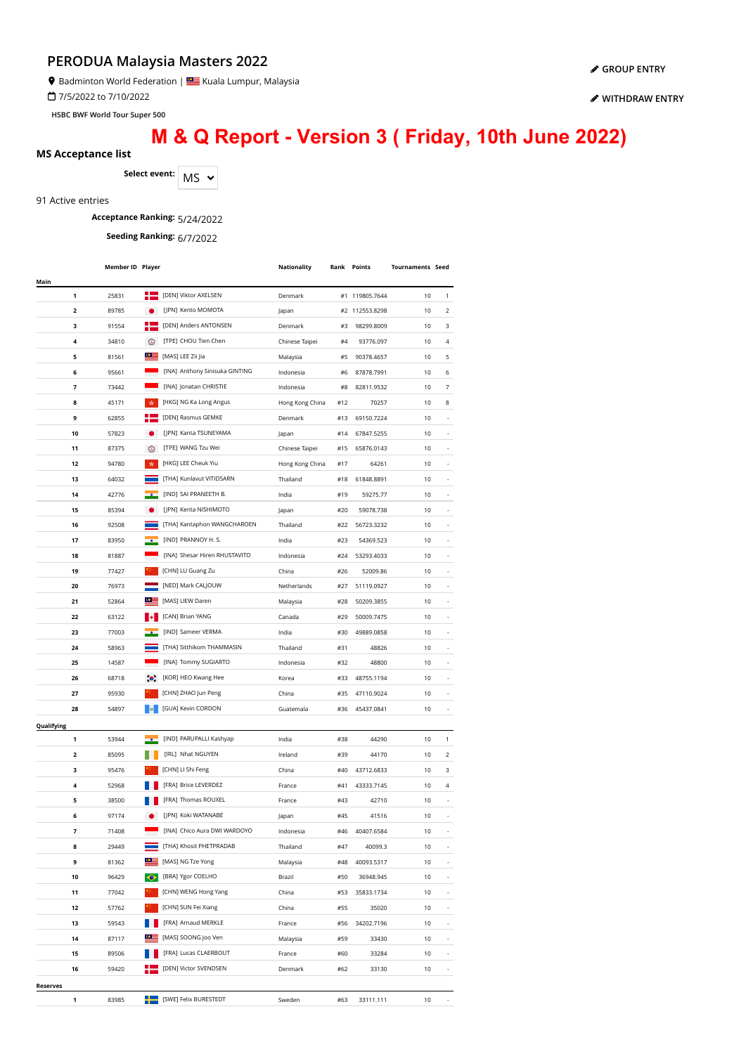Badminton World Federation | **Star** Kuala Lumpur, Malaysia

7/5/2022 to 7/10/2022

**HSBC BWF World Tour Super 500**

# **M & Q Report - Version 3 ( Friday, 10th June 2022)**

#### **MS Acceptance list**

Select event: MS  $\sim$ 

#### 91 Active entries

### **Acceptance Ranking:** 5/24/2022

**Seeding Ranking:** 6/7/2022

| [DEN] Viktor AXELSEN<br>1<br>25831<br>Denmark<br>#1 119805.7644<br>10<br>1<br>[JPN] Kento MOMOTA<br>$\overline{\mathbf{2}}$<br>89785<br>#2<br>112553.8298<br>10<br>2<br>Japan<br>з<br>[DEN] Anders ANTONSEN<br>3<br>91554<br>Denmark<br>#3<br>98299.8009<br>10<br>[TPE] CHOU Tien Chen<br>4<br>34810<br>⊛<br>4<br>Chinese Taipei<br>#4<br>93776.097<br>10<br>≌<br>5<br>81561<br>[MAS] LEE Zii Jia<br>5<br>#5<br>90378.4657<br>10<br>Malaysia<br>[INA] Anthony Sinisuka GINTING<br>6<br>95661<br>10<br>6<br>Indonesia<br>#6<br>87878.7991<br>[INA] Jonatan CHRISTIE<br>7<br>73442<br>Indonesia<br>#8<br>82811.9532<br>10<br>7<br>[HKG] NG Ka Long Angus<br>8<br>45171<br>齿<br>Hong Kong China<br>#12<br>70257<br>10<br>8<br>[DEN] Rasmus GEMKE<br>9<br>62855<br>Denmark<br>#13<br>69150.7224<br>10<br>[JPN] Kanta TSUNEYAMA<br>10<br>10<br>57823<br>#14<br>67847.5255<br>Japan<br>◉<br>[TPE] WANG Tzu Wei<br>10<br>11<br>87375<br>Chinese Taipei<br>#15<br>65876.0143<br>[HKG] LEE Cheuk Yiu<br>责<br>12<br>94780<br>Hong Kong China<br>64261<br>10<br>#17<br>[THA] Kunlavut VITIDSARN<br>13<br>64032<br>Thailand<br>61848.8891<br>10<br>#18<br>[IND] SAI PRANEETH B.<br>14<br>42776<br>India<br>#19<br>59275.77<br>10<br>[JPN] Kenta NISHIMOTO<br>85394<br>15<br>#20<br>59078.738<br>10<br>Japan<br>92508<br>[THA] Kantaphon WANGCHAROEN<br>16<br>Thailand<br>#22<br>56723.3232<br>10<br>[IND] PRANNOY H. S.<br>17<br>83950<br>India<br>#23<br>54369.523<br>10<br>$\overline{\phantom{a}}$<br>[INA] Shesar Hiren RHUSTAVITO<br>Indonesia<br>18<br>81887<br>#24<br>53293.4033<br>10<br>[CHN] LU Guang Zu<br>19<br>China<br>52009.86<br>77427<br>#26<br>10<br>[NED] Mark CALJOUW<br>20<br>76973<br>Netherlands<br>51119.0927<br>10<br>#27<br>[MAS] LIEW Daren<br>21<br>52864<br>Malaysia<br>#28<br>50209.3855<br>10<br>[CAN] Brian YANG<br>22<br>63122<br>Canada<br>#29<br>50009.7475<br>10<br>[IND] Sameer VERMA<br>77003<br>23<br>India<br>#30<br>49889.0858<br>10<br>[THA] Sitthikom THAMMASIN<br>24<br>58963<br>Thailand<br>#31<br>48826<br>10<br>[INA] Tommy SUGIARTO<br>25<br>14587<br>Indonesia<br>#32<br>48800<br>10<br>[KOR] HEO Kwang Hee<br>26<br>68718<br>$\bullet$<br>Korea<br>48755.1194<br>10<br>#33<br>[CHN] ZHAO Jun Peng<br>27<br>95930<br>China<br>#35<br>47110.9024<br>10<br>[GUA] Kevin CORDON<br>28<br>54897<br>Guatemala<br>#36<br>45437.0841<br>10<br>٠<br>Qualifying<br>[IND] PARUPALLI Kashyap<br>1<br>53944<br>India<br>#38<br>44290<br>10<br>1<br>[IRL] Nhat NGUYEN<br>2<br>85095<br>Ireland<br>44170<br>2<br>#39<br>10<br>[CHN] LI Shi Feng<br>з<br>95476<br>#40<br>43712.6833<br>3<br>China<br>10<br>[FRA] Brice LEVERDEZ<br>4<br>52968<br>France<br>#41<br>43333.7145<br>10<br>4<br>[FRA] Thomas ROUXEL<br>5<br>38500<br>France<br>#43<br>42710<br>10<br>[JPN] Koki WATANABE<br>6<br>97174<br>#45<br>41516<br>10<br>Japan<br>[INA] Chico Aura DWI WARDOYO<br>7<br>10<br>71408<br>Indonesia<br>#46<br>40407.6584<br>[THA] Khosit PHETPRADAB<br>8<br>29449<br>#47<br>40099.3<br>10<br>Thailand<br>≌≌<br>[MAS] NG Tze Yong<br>9<br>81362<br>#48<br>40093.5317<br>10<br>Malaysia<br>$\bullet$<br>[BRA] Ygor COELHO<br>10<br>96429<br>Brazil<br>#50<br>36948.945<br>10<br>[CHN] WENG Hong Yang<br>11<br>77042<br>China<br>#53<br>35833.1734<br>10<br>[CHN] SUN Fei Xiang<br>10<br>12<br>57762<br>China<br>#55<br>35020<br>٠<br>59543<br>[FRA] Arnaud MERKLE<br>34202.7196<br>13<br>France<br>#56<br>10<br>$\overline{\phantom{a}}$<br>[MAS] SOONG Joo Ven<br>14<br>87117<br>#59<br>10<br>Malaysia<br>33430<br>$\overline{\phantom{a}}$<br>[FRA] Lucas CLAERBOUT<br>89506<br>10<br>15<br>France<br>#60<br>33284<br>÷,<br>[DEN] Victor SVENDSEN<br>59420<br>10<br>16<br>Denmark<br>#62<br>33130<br>÷,<br>Reserves |      | Member ID Player |  | Nationality | <b>Rank Points</b> | <b>Tournaments Seed</b> |  |
|----------------------------------------------------------------------------------------------------------------------------------------------------------------------------------------------------------------------------------------------------------------------------------------------------------------------------------------------------------------------------------------------------------------------------------------------------------------------------------------------------------------------------------------------------------------------------------------------------------------------------------------------------------------------------------------------------------------------------------------------------------------------------------------------------------------------------------------------------------------------------------------------------------------------------------------------------------------------------------------------------------------------------------------------------------------------------------------------------------------------------------------------------------------------------------------------------------------------------------------------------------------------------------------------------------------------------------------------------------------------------------------------------------------------------------------------------------------------------------------------------------------------------------------------------------------------------------------------------------------------------------------------------------------------------------------------------------------------------------------------------------------------------------------------------------------------------------------------------------------------------------------------------------------------------------------------------------------------------------------------------------------------------------------------------------------------------------------------------------------------------------------------------------------------------------------------------------------------------------------------------------------------------------------------------------------------------------------------------------------------------------------------------------------------------------------------------------------------------------------------------------------------------------------------------------------------------------------------------------------------------------------------------------------------------------------------------------------------------------------------------------------------------------------------------------------------------------------------------------------------------------------------------------------------------------------------------------------------------------------------------------------------------------------------------------------------------------------------------------------------------------------------------------------------------------------------------------------------------------------------------------------------------------------------------------------------------------------------------------------------------------------------------------------------------------------------------------------------------------------------------------------------------------------------------------------------------------------------------------------------------------------------------------------------------------------------------------------------------------------|------|------------------|--|-------------|--------------------|-------------------------|--|
|                                                                                                                                                                                                                                                                                                                                                                                                                                                                                                                                                                                                                                                                                                                                                                                                                                                                                                                                                                                                                                                                                                                                                                                                                                                                                                                                                                                                                                                                                                                                                                                                                                                                                                                                                                                                                                                                                                                                                                                                                                                                                                                                                                                                                                                                                                                                                                                                                                                                                                                                                                                                                                                                                                                                                                                                                                                                                                                                                                                                                                                                                                                                                                                                                                                                                                                                                                                                                                                                                                                                                                                                                                                                                                                                        | Main |                  |  |             |                    |                         |  |
|                                                                                                                                                                                                                                                                                                                                                                                                                                                                                                                                                                                                                                                                                                                                                                                                                                                                                                                                                                                                                                                                                                                                                                                                                                                                                                                                                                                                                                                                                                                                                                                                                                                                                                                                                                                                                                                                                                                                                                                                                                                                                                                                                                                                                                                                                                                                                                                                                                                                                                                                                                                                                                                                                                                                                                                                                                                                                                                                                                                                                                                                                                                                                                                                                                                                                                                                                                                                                                                                                                                                                                                                                                                                                                                                        |      |                  |  |             |                    |                         |  |
|                                                                                                                                                                                                                                                                                                                                                                                                                                                                                                                                                                                                                                                                                                                                                                                                                                                                                                                                                                                                                                                                                                                                                                                                                                                                                                                                                                                                                                                                                                                                                                                                                                                                                                                                                                                                                                                                                                                                                                                                                                                                                                                                                                                                                                                                                                                                                                                                                                                                                                                                                                                                                                                                                                                                                                                                                                                                                                                                                                                                                                                                                                                                                                                                                                                                                                                                                                                                                                                                                                                                                                                                                                                                                                                                        |      |                  |  |             |                    |                         |  |
|                                                                                                                                                                                                                                                                                                                                                                                                                                                                                                                                                                                                                                                                                                                                                                                                                                                                                                                                                                                                                                                                                                                                                                                                                                                                                                                                                                                                                                                                                                                                                                                                                                                                                                                                                                                                                                                                                                                                                                                                                                                                                                                                                                                                                                                                                                                                                                                                                                                                                                                                                                                                                                                                                                                                                                                                                                                                                                                                                                                                                                                                                                                                                                                                                                                                                                                                                                                                                                                                                                                                                                                                                                                                                                                                        |      |                  |  |             |                    |                         |  |
|                                                                                                                                                                                                                                                                                                                                                                                                                                                                                                                                                                                                                                                                                                                                                                                                                                                                                                                                                                                                                                                                                                                                                                                                                                                                                                                                                                                                                                                                                                                                                                                                                                                                                                                                                                                                                                                                                                                                                                                                                                                                                                                                                                                                                                                                                                                                                                                                                                                                                                                                                                                                                                                                                                                                                                                                                                                                                                                                                                                                                                                                                                                                                                                                                                                                                                                                                                                                                                                                                                                                                                                                                                                                                                                                        |      |                  |  |             |                    |                         |  |
|                                                                                                                                                                                                                                                                                                                                                                                                                                                                                                                                                                                                                                                                                                                                                                                                                                                                                                                                                                                                                                                                                                                                                                                                                                                                                                                                                                                                                                                                                                                                                                                                                                                                                                                                                                                                                                                                                                                                                                                                                                                                                                                                                                                                                                                                                                                                                                                                                                                                                                                                                                                                                                                                                                                                                                                                                                                                                                                                                                                                                                                                                                                                                                                                                                                                                                                                                                                                                                                                                                                                                                                                                                                                                                                                        |      |                  |  |             |                    |                         |  |
|                                                                                                                                                                                                                                                                                                                                                                                                                                                                                                                                                                                                                                                                                                                                                                                                                                                                                                                                                                                                                                                                                                                                                                                                                                                                                                                                                                                                                                                                                                                                                                                                                                                                                                                                                                                                                                                                                                                                                                                                                                                                                                                                                                                                                                                                                                                                                                                                                                                                                                                                                                                                                                                                                                                                                                                                                                                                                                                                                                                                                                                                                                                                                                                                                                                                                                                                                                                                                                                                                                                                                                                                                                                                                                                                        |      |                  |  |             |                    |                         |  |
|                                                                                                                                                                                                                                                                                                                                                                                                                                                                                                                                                                                                                                                                                                                                                                                                                                                                                                                                                                                                                                                                                                                                                                                                                                                                                                                                                                                                                                                                                                                                                                                                                                                                                                                                                                                                                                                                                                                                                                                                                                                                                                                                                                                                                                                                                                                                                                                                                                                                                                                                                                                                                                                                                                                                                                                                                                                                                                                                                                                                                                                                                                                                                                                                                                                                                                                                                                                                                                                                                                                                                                                                                                                                                                                                        |      |                  |  |             |                    |                         |  |
|                                                                                                                                                                                                                                                                                                                                                                                                                                                                                                                                                                                                                                                                                                                                                                                                                                                                                                                                                                                                                                                                                                                                                                                                                                                                                                                                                                                                                                                                                                                                                                                                                                                                                                                                                                                                                                                                                                                                                                                                                                                                                                                                                                                                                                                                                                                                                                                                                                                                                                                                                                                                                                                                                                                                                                                                                                                                                                                                                                                                                                                                                                                                                                                                                                                                                                                                                                                                                                                                                                                                                                                                                                                                                                                                        |      |                  |  |             |                    |                         |  |
|                                                                                                                                                                                                                                                                                                                                                                                                                                                                                                                                                                                                                                                                                                                                                                                                                                                                                                                                                                                                                                                                                                                                                                                                                                                                                                                                                                                                                                                                                                                                                                                                                                                                                                                                                                                                                                                                                                                                                                                                                                                                                                                                                                                                                                                                                                                                                                                                                                                                                                                                                                                                                                                                                                                                                                                                                                                                                                                                                                                                                                                                                                                                                                                                                                                                                                                                                                                                                                                                                                                                                                                                                                                                                                                                        |      |                  |  |             |                    |                         |  |
|                                                                                                                                                                                                                                                                                                                                                                                                                                                                                                                                                                                                                                                                                                                                                                                                                                                                                                                                                                                                                                                                                                                                                                                                                                                                                                                                                                                                                                                                                                                                                                                                                                                                                                                                                                                                                                                                                                                                                                                                                                                                                                                                                                                                                                                                                                                                                                                                                                                                                                                                                                                                                                                                                                                                                                                                                                                                                                                                                                                                                                                                                                                                                                                                                                                                                                                                                                                                                                                                                                                                                                                                                                                                                                                                        |      |                  |  |             |                    |                         |  |
|                                                                                                                                                                                                                                                                                                                                                                                                                                                                                                                                                                                                                                                                                                                                                                                                                                                                                                                                                                                                                                                                                                                                                                                                                                                                                                                                                                                                                                                                                                                                                                                                                                                                                                                                                                                                                                                                                                                                                                                                                                                                                                                                                                                                                                                                                                                                                                                                                                                                                                                                                                                                                                                                                                                                                                                                                                                                                                                                                                                                                                                                                                                                                                                                                                                                                                                                                                                                                                                                                                                                                                                                                                                                                                                                        |      |                  |  |             |                    |                         |  |
|                                                                                                                                                                                                                                                                                                                                                                                                                                                                                                                                                                                                                                                                                                                                                                                                                                                                                                                                                                                                                                                                                                                                                                                                                                                                                                                                                                                                                                                                                                                                                                                                                                                                                                                                                                                                                                                                                                                                                                                                                                                                                                                                                                                                                                                                                                                                                                                                                                                                                                                                                                                                                                                                                                                                                                                                                                                                                                                                                                                                                                                                                                                                                                                                                                                                                                                                                                                                                                                                                                                                                                                                                                                                                                                                        |      |                  |  |             |                    |                         |  |
|                                                                                                                                                                                                                                                                                                                                                                                                                                                                                                                                                                                                                                                                                                                                                                                                                                                                                                                                                                                                                                                                                                                                                                                                                                                                                                                                                                                                                                                                                                                                                                                                                                                                                                                                                                                                                                                                                                                                                                                                                                                                                                                                                                                                                                                                                                                                                                                                                                                                                                                                                                                                                                                                                                                                                                                                                                                                                                                                                                                                                                                                                                                                                                                                                                                                                                                                                                                                                                                                                                                                                                                                                                                                                                                                        |      |                  |  |             |                    |                         |  |
|                                                                                                                                                                                                                                                                                                                                                                                                                                                                                                                                                                                                                                                                                                                                                                                                                                                                                                                                                                                                                                                                                                                                                                                                                                                                                                                                                                                                                                                                                                                                                                                                                                                                                                                                                                                                                                                                                                                                                                                                                                                                                                                                                                                                                                                                                                                                                                                                                                                                                                                                                                                                                                                                                                                                                                                                                                                                                                                                                                                                                                                                                                                                                                                                                                                                                                                                                                                                                                                                                                                                                                                                                                                                                                                                        |      |                  |  |             |                    |                         |  |
|                                                                                                                                                                                                                                                                                                                                                                                                                                                                                                                                                                                                                                                                                                                                                                                                                                                                                                                                                                                                                                                                                                                                                                                                                                                                                                                                                                                                                                                                                                                                                                                                                                                                                                                                                                                                                                                                                                                                                                                                                                                                                                                                                                                                                                                                                                                                                                                                                                                                                                                                                                                                                                                                                                                                                                                                                                                                                                                                                                                                                                                                                                                                                                                                                                                                                                                                                                                                                                                                                                                                                                                                                                                                                                                                        |      |                  |  |             |                    |                         |  |
|                                                                                                                                                                                                                                                                                                                                                                                                                                                                                                                                                                                                                                                                                                                                                                                                                                                                                                                                                                                                                                                                                                                                                                                                                                                                                                                                                                                                                                                                                                                                                                                                                                                                                                                                                                                                                                                                                                                                                                                                                                                                                                                                                                                                                                                                                                                                                                                                                                                                                                                                                                                                                                                                                                                                                                                                                                                                                                                                                                                                                                                                                                                                                                                                                                                                                                                                                                                                                                                                                                                                                                                                                                                                                                                                        |      |                  |  |             |                    |                         |  |
|                                                                                                                                                                                                                                                                                                                                                                                                                                                                                                                                                                                                                                                                                                                                                                                                                                                                                                                                                                                                                                                                                                                                                                                                                                                                                                                                                                                                                                                                                                                                                                                                                                                                                                                                                                                                                                                                                                                                                                                                                                                                                                                                                                                                                                                                                                                                                                                                                                                                                                                                                                                                                                                                                                                                                                                                                                                                                                                                                                                                                                                                                                                                                                                                                                                                                                                                                                                                                                                                                                                                                                                                                                                                                                                                        |      |                  |  |             |                    |                         |  |
|                                                                                                                                                                                                                                                                                                                                                                                                                                                                                                                                                                                                                                                                                                                                                                                                                                                                                                                                                                                                                                                                                                                                                                                                                                                                                                                                                                                                                                                                                                                                                                                                                                                                                                                                                                                                                                                                                                                                                                                                                                                                                                                                                                                                                                                                                                                                                                                                                                                                                                                                                                                                                                                                                                                                                                                                                                                                                                                                                                                                                                                                                                                                                                                                                                                                                                                                                                                                                                                                                                                                                                                                                                                                                                                                        |      |                  |  |             |                    |                         |  |
|                                                                                                                                                                                                                                                                                                                                                                                                                                                                                                                                                                                                                                                                                                                                                                                                                                                                                                                                                                                                                                                                                                                                                                                                                                                                                                                                                                                                                                                                                                                                                                                                                                                                                                                                                                                                                                                                                                                                                                                                                                                                                                                                                                                                                                                                                                                                                                                                                                                                                                                                                                                                                                                                                                                                                                                                                                                                                                                                                                                                                                                                                                                                                                                                                                                                                                                                                                                                                                                                                                                                                                                                                                                                                                                                        |      |                  |  |             |                    |                         |  |
|                                                                                                                                                                                                                                                                                                                                                                                                                                                                                                                                                                                                                                                                                                                                                                                                                                                                                                                                                                                                                                                                                                                                                                                                                                                                                                                                                                                                                                                                                                                                                                                                                                                                                                                                                                                                                                                                                                                                                                                                                                                                                                                                                                                                                                                                                                                                                                                                                                                                                                                                                                                                                                                                                                                                                                                                                                                                                                                                                                                                                                                                                                                                                                                                                                                                                                                                                                                                                                                                                                                                                                                                                                                                                                                                        |      |                  |  |             |                    |                         |  |
|                                                                                                                                                                                                                                                                                                                                                                                                                                                                                                                                                                                                                                                                                                                                                                                                                                                                                                                                                                                                                                                                                                                                                                                                                                                                                                                                                                                                                                                                                                                                                                                                                                                                                                                                                                                                                                                                                                                                                                                                                                                                                                                                                                                                                                                                                                                                                                                                                                                                                                                                                                                                                                                                                                                                                                                                                                                                                                                                                                                                                                                                                                                                                                                                                                                                                                                                                                                                                                                                                                                                                                                                                                                                                                                                        |      |                  |  |             |                    |                         |  |
|                                                                                                                                                                                                                                                                                                                                                                                                                                                                                                                                                                                                                                                                                                                                                                                                                                                                                                                                                                                                                                                                                                                                                                                                                                                                                                                                                                                                                                                                                                                                                                                                                                                                                                                                                                                                                                                                                                                                                                                                                                                                                                                                                                                                                                                                                                                                                                                                                                                                                                                                                                                                                                                                                                                                                                                                                                                                                                                                                                                                                                                                                                                                                                                                                                                                                                                                                                                                                                                                                                                                                                                                                                                                                                                                        |      |                  |  |             |                    |                         |  |
|                                                                                                                                                                                                                                                                                                                                                                                                                                                                                                                                                                                                                                                                                                                                                                                                                                                                                                                                                                                                                                                                                                                                                                                                                                                                                                                                                                                                                                                                                                                                                                                                                                                                                                                                                                                                                                                                                                                                                                                                                                                                                                                                                                                                                                                                                                                                                                                                                                                                                                                                                                                                                                                                                                                                                                                                                                                                                                                                                                                                                                                                                                                                                                                                                                                                                                                                                                                                                                                                                                                                                                                                                                                                                                                                        |      |                  |  |             |                    |                         |  |
|                                                                                                                                                                                                                                                                                                                                                                                                                                                                                                                                                                                                                                                                                                                                                                                                                                                                                                                                                                                                                                                                                                                                                                                                                                                                                                                                                                                                                                                                                                                                                                                                                                                                                                                                                                                                                                                                                                                                                                                                                                                                                                                                                                                                                                                                                                                                                                                                                                                                                                                                                                                                                                                                                                                                                                                                                                                                                                                                                                                                                                                                                                                                                                                                                                                                                                                                                                                                                                                                                                                                                                                                                                                                                                                                        |      |                  |  |             |                    |                         |  |
|                                                                                                                                                                                                                                                                                                                                                                                                                                                                                                                                                                                                                                                                                                                                                                                                                                                                                                                                                                                                                                                                                                                                                                                                                                                                                                                                                                                                                                                                                                                                                                                                                                                                                                                                                                                                                                                                                                                                                                                                                                                                                                                                                                                                                                                                                                                                                                                                                                                                                                                                                                                                                                                                                                                                                                                                                                                                                                                                                                                                                                                                                                                                                                                                                                                                                                                                                                                                                                                                                                                                                                                                                                                                                                                                        |      |                  |  |             |                    |                         |  |
|                                                                                                                                                                                                                                                                                                                                                                                                                                                                                                                                                                                                                                                                                                                                                                                                                                                                                                                                                                                                                                                                                                                                                                                                                                                                                                                                                                                                                                                                                                                                                                                                                                                                                                                                                                                                                                                                                                                                                                                                                                                                                                                                                                                                                                                                                                                                                                                                                                                                                                                                                                                                                                                                                                                                                                                                                                                                                                                                                                                                                                                                                                                                                                                                                                                                                                                                                                                                                                                                                                                                                                                                                                                                                                                                        |      |                  |  |             |                    |                         |  |
|                                                                                                                                                                                                                                                                                                                                                                                                                                                                                                                                                                                                                                                                                                                                                                                                                                                                                                                                                                                                                                                                                                                                                                                                                                                                                                                                                                                                                                                                                                                                                                                                                                                                                                                                                                                                                                                                                                                                                                                                                                                                                                                                                                                                                                                                                                                                                                                                                                                                                                                                                                                                                                                                                                                                                                                                                                                                                                                                                                                                                                                                                                                                                                                                                                                                                                                                                                                                                                                                                                                                                                                                                                                                                                                                        |      |                  |  |             |                    |                         |  |
|                                                                                                                                                                                                                                                                                                                                                                                                                                                                                                                                                                                                                                                                                                                                                                                                                                                                                                                                                                                                                                                                                                                                                                                                                                                                                                                                                                                                                                                                                                                                                                                                                                                                                                                                                                                                                                                                                                                                                                                                                                                                                                                                                                                                                                                                                                                                                                                                                                                                                                                                                                                                                                                                                                                                                                                                                                                                                                                                                                                                                                                                                                                                                                                                                                                                                                                                                                                                                                                                                                                                                                                                                                                                                                                                        |      |                  |  |             |                    |                         |  |
|                                                                                                                                                                                                                                                                                                                                                                                                                                                                                                                                                                                                                                                                                                                                                                                                                                                                                                                                                                                                                                                                                                                                                                                                                                                                                                                                                                                                                                                                                                                                                                                                                                                                                                                                                                                                                                                                                                                                                                                                                                                                                                                                                                                                                                                                                                                                                                                                                                                                                                                                                                                                                                                                                                                                                                                                                                                                                                                                                                                                                                                                                                                                                                                                                                                                                                                                                                                                                                                                                                                                                                                                                                                                                                                                        |      |                  |  |             |                    |                         |  |
|                                                                                                                                                                                                                                                                                                                                                                                                                                                                                                                                                                                                                                                                                                                                                                                                                                                                                                                                                                                                                                                                                                                                                                                                                                                                                                                                                                                                                                                                                                                                                                                                                                                                                                                                                                                                                                                                                                                                                                                                                                                                                                                                                                                                                                                                                                                                                                                                                                                                                                                                                                                                                                                                                                                                                                                                                                                                                                                                                                                                                                                                                                                                                                                                                                                                                                                                                                                                                                                                                                                                                                                                                                                                                                                                        |      |                  |  |             |                    |                         |  |
|                                                                                                                                                                                                                                                                                                                                                                                                                                                                                                                                                                                                                                                                                                                                                                                                                                                                                                                                                                                                                                                                                                                                                                                                                                                                                                                                                                                                                                                                                                                                                                                                                                                                                                                                                                                                                                                                                                                                                                                                                                                                                                                                                                                                                                                                                                                                                                                                                                                                                                                                                                                                                                                                                                                                                                                                                                                                                                                                                                                                                                                                                                                                                                                                                                                                                                                                                                                                                                                                                                                                                                                                                                                                                                                                        |      |                  |  |             |                    |                         |  |
|                                                                                                                                                                                                                                                                                                                                                                                                                                                                                                                                                                                                                                                                                                                                                                                                                                                                                                                                                                                                                                                                                                                                                                                                                                                                                                                                                                                                                                                                                                                                                                                                                                                                                                                                                                                                                                                                                                                                                                                                                                                                                                                                                                                                                                                                                                                                                                                                                                                                                                                                                                                                                                                                                                                                                                                                                                                                                                                                                                                                                                                                                                                                                                                                                                                                                                                                                                                                                                                                                                                                                                                                                                                                                                                                        |      |                  |  |             |                    |                         |  |
|                                                                                                                                                                                                                                                                                                                                                                                                                                                                                                                                                                                                                                                                                                                                                                                                                                                                                                                                                                                                                                                                                                                                                                                                                                                                                                                                                                                                                                                                                                                                                                                                                                                                                                                                                                                                                                                                                                                                                                                                                                                                                                                                                                                                                                                                                                                                                                                                                                                                                                                                                                                                                                                                                                                                                                                                                                                                                                                                                                                                                                                                                                                                                                                                                                                                                                                                                                                                                                                                                                                                                                                                                                                                                                                                        |      |                  |  |             |                    |                         |  |
|                                                                                                                                                                                                                                                                                                                                                                                                                                                                                                                                                                                                                                                                                                                                                                                                                                                                                                                                                                                                                                                                                                                                                                                                                                                                                                                                                                                                                                                                                                                                                                                                                                                                                                                                                                                                                                                                                                                                                                                                                                                                                                                                                                                                                                                                                                                                                                                                                                                                                                                                                                                                                                                                                                                                                                                                                                                                                                                                                                                                                                                                                                                                                                                                                                                                                                                                                                                                                                                                                                                                                                                                                                                                                                                                        |      |                  |  |             |                    |                         |  |
|                                                                                                                                                                                                                                                                                                                                                                                                                                                                                                                                                                                                                                                                                                                                                                                                                                                                                                                                                                                                                                                                                                                                                                                                                                                                                                                                                                                                                                                                                                                                                                                                                                                                                                                                                                                                                                                                                                                                                                                                                                                                                                                                                                                                                                                                                                                                                                                                                                                                                                                                                                                                                                                                                                                                                                                                                                                                                                                                                                                                                                                                                                                                                                                                                                                                                                                                                                                                                                                                                                                                                                                                                                                                                                                                        |      |                  |  |             |                    |                         |  |
|                                                                                                                                                                                                                                                                                                                                                                                                                                                                                                                                                                                                                                                                                                                                                                                                                                                                                                                                                                                                                                                                                                                                                                                                                                                                                                                                                                                                                                                                                                                                                                                                                                                                                                                                                                                                                                                                                                                                                                                                                                                                                                                                                                                                                                                                                                                                                                                                                                                                                                                                                                                                                                                                                                                                                                                                                                                                                                                                                                                                                                                                                                                                                                                                                                                                                                                                                                                                                                                                                                                                                                                                                                                                                                                                        |      |                  |  |             |                    |                         |  |
|                                                                                                                                                                                                                                                                                                                                                                                                                                                                                                                                                                                                                                                                                                                                                                                                                                                                                                                                                                                                                                                                                                                                                                                                                                                                                                                                                                                                                                                                                                                                                                                                                                                                                                                                                                                                                                                                                                                                                                                                                                                                                                                                                                                                                                                                                                                                                                                                                                                                                                                                                                                                                                                                                                                                                                                                                                                                                                                                                                                                                                                                                                                                                                                                                                                                                                                                                                                                                                                                                                                                                                                                                                                                                                                                        |      |                  |  |             |                    |                         |  |
|                                                                                                                                                                                                                                                                                                                                                                                                                                                                                                                                                                                                                                                                                                                                                                                                                                                                                                                                                                                                                                                                                                                                                                                                                                                                                                                                                                                                                                                                                                                                                                                                                                                                                                                                                                                                                                                                                                                                                                                                                                                                                                                                                                                                                                                                                                                                                                                                                                                                                                                                                                                                                                                                                                                                                                                                                                                                                                                                                                                                                                                                                                                                                                                                                                                                                                                                                                                                                                                                                                                                                                                                                                                                                                                                        |      |                  |  |             |                    |                         |  |
|                                                                                                                                                                                                                                                                                                                                                                                                                                                                                                                                                                                                                                                                                                                                                                                                                                                                                                                                                                                                                                                                                                                                                                                                                                                                                                                                                                                                                                                                                                                                                                                                                                                                                                                                                                                                                                                                                                                                                                                                                                                                                                                                                                                                                                                                                                                                                                                                                                                                                                                                                                                                                                                                                                                                                                                                                                                                                                                                                                                                                                                                                                                                                                                                                                                                                                                                                                                                                                                                                                                                                                                                                                                                                                                                        |      |                  |  |             |                    |                         |  |
|                                                                                                                                                                                                                                                                                                                                                                                                                                                                                                                                                                                                                                                                                                                                                                                                                                                                                                                                                                                                                                                                                                                                                                                                                                                                                                                                                                                                                                                                                                                                                                                                                                                                                                                                                                                                                                                                                                                                                                                                                                                                                                                                                                                                                                                                                                                                                                                                                                                                                                                                                                                                                                                                                                                                                                                                                                                                                                                                                                                                                                                                                                                                                                                                                                                                                                                                                                                                                                                                                                                                                                                                                                                                                                                                        |      |                  |  |             |                    |                         |  |
|                                                                                                                                                                                                                                                                                                                                                                                                                                                                                                                                                                                                                                                                                                                                                                                                                                                                                                                                                                                                                                                                                                                                                                                                                                                                                                                                                                                                                                                                                                                                                                                                                                                                                                                                                                                                                                                                                                                                                                                                                                                                                                                                                                                                                                                                                                                                                                                                                                                                                                                                                                                                                                                                                                                                                                                                                                                                                                                                                                                                                                                                                                                                                                                                                                                                                                                                                                                                                                                                                                                                                                                                                                                                                                                                        |      |                  |  |             |                    |                         |  |
|                                                                                                                                                                                                                                                                                                                                                                                                                                                                                                                                                                                                                                                                                                                                                                                                                                                                                                                                                                                                                                                                                                                                                                                                                                                                                                                                                                                                                                                                                                                                                                                                                                                                                                                                                                                                                                                                                                                                                                                                                                                                                                                                                                                                                                                                                                                                                                                                                                                                                                                                                                                                                                                                                                                                                                                                                                                                                                                                                                                                                                                                                                                                                                                                                                                                                                                                                                                                                                                                                                                                                                                                                                                                                                                                        |      |                  |  |             |                    |                         |  |
|                                                                                                                                                                                                                                                                                                                                                                                                                                                                                                                                                                                                                                                                                                                                                                                                                                                                                                                                                                                                                                                                                                                                                                                                                                                                                                                                                                                                                                                                                                                                                                                                                                                                                                                                                                                                                                                                                                                                                                                                                                                                                                                                                                                                                                                                                                                                                                                                                                                                                                                                                                                                                                                                                                                                                                                                                                                                                                                                                                                                                                                                                                                                                                                                                                                                                                                                                                                                                                                                                                                                                                                                                                                                                                                                        |      |                  |  |             |                    |                         |  |
|                                                                                                                                                                                                                                                                                                                                                                                                                                                                                                                                                                                                                                                                                                                                                                                                                                                                                                                                                                                                                                                                                                                                                                                                                                                                                                                                                                                                                                                                                                                                                                                                                                                                                                                                                                                                                                                                                                                                                                                                                                                                                                                                                                                                                                                                                                                                                                                                                                                                                                                                                                                                                                                                                                                                                                                                                                                                                                                                                                                                                                                                                                                                                                                                                                                                                                                                                                                                                                                                                                                                                                                                                                                                                                                                        |      |                  |  |             |                    |                         |  |
|                                                                                                                                                                                                                                                                                                                                                                                                                                                                                                                                                                                                                                                                                                                                                                                                                                                                                                                                                                                                                                                                                                                                                                                                                                                                                                                                                                                                                                                                                                                                                                                                                                                                                                                                                                                                                                                                                                                                                                                                                                                                                                                                                                                                                                                                                                                                                                                                                                                                                                                                                                                                                                                                                                                                                                                                                                                                                                                                                                                                                                                                                                                                                                                                                                                                                                                                                                                                                                                                                                                                                                                                                                                                                                                                        |      |                  |  |             |                    |                         |  |
|                                                                                                                                                                                                                                                                                                                                                                                                                                                                                                                                                                                                                                                                                                                                                                                                                                                                                                                                                                                                                                                                                                                                                                                                                                                                                                                                                                                                                                                                                                                                                                                                                                                                                                                                                                                                                                                                                                                                                                                                                                                                                                                                                                                                                                                                                                                                                                                                                                                                                                                                                                                                                                                                                                                                                                                                                                                                                                                                                                                                                                                                                                                                                                                                                                                                                                                                                                                                                                                                                                                                                                                                                                                                                                                                        |      |                  |  |             |                    |                         |  |
| [SWE] Felix BURESTEDT<br>1<br>83985<br>Sweden<br>#63<br>33111.111<br>10                                                                                                                                                                                                                                                                                                                                                                                                                                                                                                                                                                                                                                                                                                                                                                                                                                                                                                                                                                                                                                                                                                                                                                                                                                                                                                                                                                                                                                                                                                                                                                                                                                                                                                                                                                                                                                                                                                                                                                                                                                                                                                                                                                                                                                                                                                                                                                                                                                                                                                                                                                                                                                                                                                                                                                                                                                                                                                                                                                                                                                                                                                                                                                                                                                                                                                                                                                                                                                                                                                                                                                                                                                                                |      |                  |  |             |                    |                         |  |

**[GROUP ENTRY](https://bwf.tournamentsoftware.com/individual-entry/EE44BEB4-66E3-4303-A3FB-2445388DDEF4)**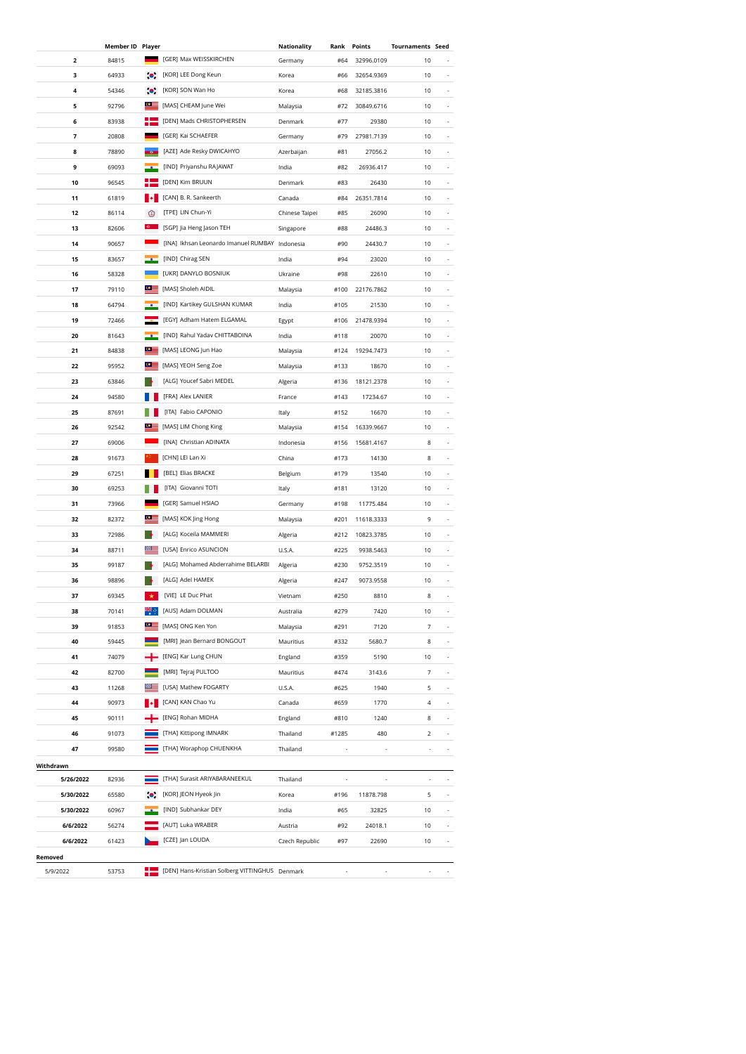|           | <b>Member ID Player</b> |            |                                                | Nationality    | Rank  | Points     | <b>Tournaments Seed</b> |                          |
|-----------|-------------------------|------------|------------------------------------------------|----------------|-------|------------|-------------------------|--------------------------|
| 2         | 84815                   |            | [GER] Max WEISSKIRCHEN                         | Germany        | #64   | 32996.0109 | 10                      |                          |
| 3         | 64933                   | $\bullet$  | [KOR] LEE Dong Keun                            | Korea          | #66   | 32654.9369 | 10                      |                          |
| 4         | 54346                   | $\bullet$  | [KOR] SON Wan Ho                               | Korea          | #68   | 32185.3816 | 10                      | $\overline{\phantom{a}}$ |
| 5         | 92796                   | ≌          | [MAS] CHEAM June Wei                           | Malaysia       | #72   | 30849.6716 | 10                      | $\overline{\phantom{a}}$ |
| 6         | 83938                   | ۰          | [DEN] Mads CHRISTOPHERSEN                      | Denmark        | #77   | 29380      | 10                      | ÷,                       |
| 7         | 20808                   |            | [GER] Kai SCHAEFER                             | Germany        | #79   | 27981.7139 | 10                      | ÷,                       |
| 8         | 78890                   |            | [AZE] Ade Resky DWICAHYO                       | Azerbaijan     | #81   | 27056.2    | 10                      |                          |
| 9         | 69093                   |            | [IND] Priyanshu RAJAWAT                        | India          | #82   | 26936.417  | 10                      |                          |
| 10        | 96545                   |            | [DEN] Kim BRUUN                                | Denmark        | #83   | 26430      | 10                      |                          |
| 11        | 61819                   |            | [CAN] B. R. Sankeerth                          | Canada         | #84   | 26351.7814 | 10                      |                          |
| 12        | 86114                   | ☺          | [TPE] LIN Chun-Yi                              | Chinese Taipei | #85   | 26090      | 10                      |                          |
| 13        | 82606                   |            | [SGP] Jia Heng Jason TEH                       | Singapore      | #88   | 24486.3    | 10                      |                          |
| 14        | 90657                   |            | [INA] Ikhsan Leonardo Imanuel RUMBAY           | Indonesia      | #90   | 24430.7    | 10                      |                          |
| 15        | 83657                   |            | [IND] Chirag SEN                               | India          | #94   | 23020      | 10                      |                          |
| 16        | 58328                   |            | [UKR] DANYLO BOSNIUK                           | Ukraine        | #98   | 22610      | 10                      |                          |
|           | 79110                   | $\circ$ :  | [MAS] Sholeh AIDIL                             | Malaysia       |       |            |                         |                          |
| 17        |                         |            |                                                |                | #100  | 22176.7862 | 10                      |                          |
| 18        | 64794                   |            | [IND] Kartikey GULSHAN KUMAR                   | India          | #105  | 21530      | 10                      |                          |
| 19        | 72466                   |            | [EGY] Adham Hatem ELGAMAL                      | Egypt          | #106  | 21478.9394 | 10                      |                          |
| 20        | 81643                   | $\circ$ =  | [IND] Rahul Yadav CHITTABOINA                  | India          | #118  | 20070      | 10                      |                          |
| 21        | 84838                   | $\circ$ =  | [MAS] LEONG Jun Hao                            | Malaysia       | #124  | 19294.7473 | 10                      |                          |
| 22        | 95952                   |            | [MAS] YEOH Seng Zoe                            | Malaysia       | #133  | 18670      | 10                      |                          |
| 23        | 63846                   |            | [ALG] Youcef Sabri MEDEL                       | Algeria        | #136  | 18121.2378 | 10                      |                          |
| 24        | 94580                   |            | [FRA] Alex LANIER                              | France         | #143  | 17234.67   | 10                      |                          |
| 25        | 87691                   |            | [ITA] Fabio CAPONIO                            | ltaly          | #152  | 16670      | 10                      |                          |
| 26        | 92542                   |            | [MAS] LIM Chong King                           | Malaysia       | #154  | 16339.9667 | 10                      |                          |
| 27        | 69006                   |            | [INA] Christian ADINATA                        | Indonesia      | #156  | 15681.4167 | 8                       |                          |
| 28        | 91673                   |            | [CHN] LEI Lan Xi                               | China          | #173  | 14130      | 8                       |                          |
| 29        | 67251                   |            | [BEL] Elias BRACKE                             | Belgium        | #179  | 13540      | 10                      |                          |
| 30        | 69253                   |            | [ITA] Giovanni TOTI                            | Italy          | #181  | 13120      | 10                      | $\overline{\phantom{a}}$ |
| 31        | 73966                   |            | [GER] Samuel HSIAO                             | Germany        | #198  | 11775.484  | 10                      | $\overline{\phantom{a}}$ |
| 32        | 82372                   | $^{\circ}$ | [MAS] KOK Jing Hong                            | Malaysia       | #201  | 11618.3333 | 9                       | $\overline{\phantom{a}}$ |
| 33        | 72986                   |            | [ALG] Koceila MAMMERI                          | Algeria        | #212  | 10823.3785 | 10                      | ÷,                       |
| 34        | 88711                   |            | [USA] Enrico ASUNCION                          | U.S.A.         | #225  | 9938.5463  | 10                      |                          |
| 35        | 99187                   |            | [ALG] Mohamed Abderrahime BELARBI              | Algeria        | #230  | 9752.3519  | 10                      |                          |
| 36        | 98896                   |            | [ALG] Adel HAMEK                               | Algeria        | #247  | 9073.9558  | 10                      |                          |
| 37        | 69345                   | ★          | [VIE] LE Duc Phat                              | Vietnam        | #250  | 8810       | 8                       |                          |
| 38        | 70141                   |            | [AUS] Adam DOLMAN                              | Australia      | #279  | 7420       | 10                      |                          |
| 39        | 91853                   |            | [MAS] ONG Ken Yon                              | Malaysia       | #291  | 7120       | 7                       |                          |
| 40        | 59445                   |            | [MRI] Jean Bernard BONGOUT                     | Mauritius      | #332  | 5680.7     | 8                       |                          |
| 41        | 74079                   |            | [ENG] Kar Lung CHUN                            | England        | #359  | 5190       | 10                      |                          |
| 42        | 82700                   |            | [MRI] Tejraj PULTOO                            | Mauritius      | #474  | 3143.6     | 7                       |                          |
| 43        | 11268                   | ▩☰         | [USA] Mathew FOGARTY                           | U.S.A.         | #625  | 1940       | 5                       | $\overline{\phantom{a}}$ |
| 44        | 90973                   |            | [CAN] KAN Chao Yu                              | Canada         | #659  | 1770       | 4                       | $\overline{\phantom{a}}$ |
| 45        | 90111                   |            | [ENG] Rohan MIDHA                              | England        | #810  | 1240       | 8                       | ÷,                       |
| 46        | 91073                   |            | [THA] Kittipong IMNARK                         | Thailand       | #1285 | 480        | 2                       | ÷,                       |
| 47        | 99580                   |            | [THA] Woraphop CHUENKHA                        | Thailand       |       |            | ÷,                      | ÷,                       |
| Withdrawn |                         |            |                                                |                |       |            |                         |                          |
| 5/26/2022 | 82936                   |            | [THA] Surasit ARIYABARANEEKUL                  | Thailand       |       |            |                         |                          |
| 5/30/2022 | 65580                   |            | [KOR] JEON Hyeok Jin                           | Korea          | #196  | 11878.798  | 5                       |                          |
| 5/30/2022 | 60967                   |            | [IND] Subhankar DEY                            | India          | #65   | 32825      | 10                      |                          |
| 6/6/2022  | 56274                   |            | [AUT] Luka WRABER                              | Austria        | #92   | 24018.1    | 10                      |                          |
| 6/6/2022  | 61423                   |            | [CZE] Jan LOUDA                                | Czech Republic | #97   | 22690      | 10                      |                          |
| Removed   |                         |            |                                                |                |       |            |                         |                          |
| 5/9/2022  | 53753                   |            | [DEN] Hans-Kristian Solberg VITTINGHUS Denmark |                |       |            |                         |                          |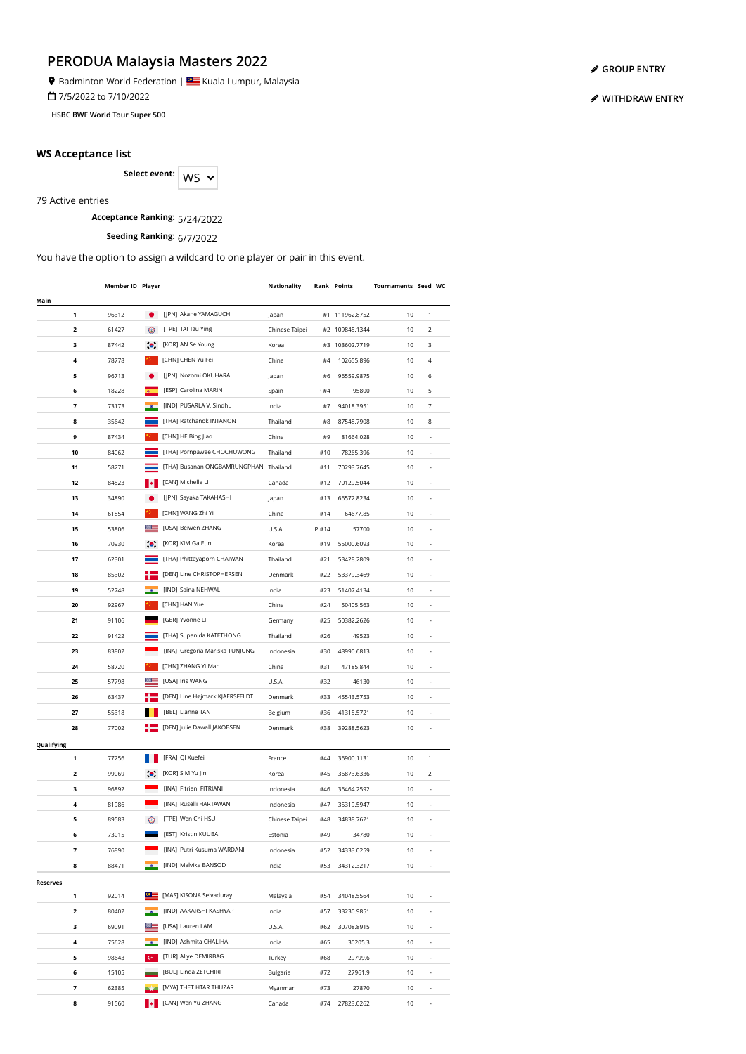Badminton World Federation | **Star** Kuala Lumpur, Malaysia

7/5/2022 to 7/10/2022

**HSBC BWF World Tour Super 500**

#### **WS Acceptance list**

Select event: WS  $\sim$ 

79 Active entries

# **Acceptance Ranking:** 5/24/2022

**Seeding Ranking:** 6/7/2022

You have the option to assign a wildcard to one player or pair in this event.

|                 | Member ID Player |                   |                                       | Nationality    |      | Rank Points    | Tournaments Seed WC |                          |  |
|-----------------|------------------|-------------------|---------------------------------------|----------------|------|----------------|---------------------|--------------------------|--|
| Main            |                  |                   |                                       |                |      |                |                     |                          |  |
| 1               | 96312            |                   | [JPN] Akane YAMAGUCHI                 | Japan          |      | #1 111962.8752 | 10                  | 1                        |  |
| 2               | 61427            | ⊛                 | [TPE] TAI Tzu Ying                    | Chinese Taipei |      | #2 109845.1344 | 10                  | 2                        |  |
| з               | 87442            | $\bullet$         | [KOR] AN Se Young                     | Korea          | #3   | 103602.7719    | 10                  | 3                        |  |
| 4               | 78778            |                   | [CHN] CHEN Yu Fei                     | China          | #4   | 102655.896     | 10                  | 4                        |  |
| 5               | 96713            |                   | [JPN] Nozomi OKUHARA                  | Japan          | #6   | 96559.9875     | 10                  | 6                        |  |
| 6               | 18228            |                   | [ESP] Carolina MARIN                  | Spain          | P #4 | 95800          | 10                  | 5                        |  |
| 7               | 73173            |                   | [IND] PUSARLA V. Sindhu               | India          | #7   | 94018.3951     | 10                  | 7                        |  |
| 8               | 35642            |                   | [THA] Ratchanok INTANON               | Thailand       | #8   | 87548.7908     | 10                  | 8                        |  |
| 9               | 87434            |                   | [CHN] HE Bing Jiao                    | China          | #9   | 81664.028      | 10                  |                          |  |
| 10              | 84062            |                   | [THA] Pornpawee CHOCHUWONG            | Thailand       | #10  | 78265.396      | 10                  |                          |  |
| 11              | 58271            |                   | [THA] Busanan ONGBAMRUNGPHAN Thailand |                | #11  | 70293.7645     | 10                  |                          |  |
| 12              | 84523            |                   | [CAN] Michelle LI                     | Canada         | #12  | 70129.5044     | 10                  | ٠                        |  |
| 13              | 34890            |                   | [JPN] Sayaka TAKAHASHI                | Japan          | #13  | 66572.8234     | 10                  | ä,                       |  |
| 14              | 61854            |                   | [CHN] WANG Zhi Yi                     | China          | #14  | 64677.85       | 10                  | ä,                       |  |
| 15              | 53806            |                   | [USA] Beiwen ZHANG                    | U.S.A.         | P#14 | 57700          | 10                  |                          |  |
| 16              | 70930            |                   | [KOR] KIM Ga Eun                      | Korea          | #19  | 55000.6093     | 10                  |                          |  |
| 17              | 62301            |                   | [THA] Phittayaporn CHAIWAN            | Thailand       | #21  | 53428.2809     | 10                  |                          |  |
| 18              | 85302            |                   | [DEN] Line CHRISTOPHERSEN             | Denmark        | #22  | 53379.3469     | 10                  | i,                       |  |
| 19              | 52748            |                   | [IND] Saina NEHWAL                    | India          | #23  | 51407.4134     | 10                  |                          |  |
| 20              | 92967            |                   | [CHN] HAN Yue                         | China          | #24  | 50405.563      | 10                  |                          |  |
| 21              | 91106            |                   | [GER] Yvonne Ll                       | Germany        | #25  | 50382.2626     | 10                  | ٠                        |  |
| 22              | 91422            |                   | [THA] Supanida KATETHONG              | Thailand       | #26  | 49523          | 10                  | ٠                        |  |
| 23              | 83802            |                   | [INA] Gregoria Mariska TUNJUNG        | Indonesia      | #30  | 48990.6813     | 10                  |                          |  |
|                 |                  |                   |                                       |                |      |                |                     | $\overline{\phantom{a}}$ |  |
| 24              | 58720            |                   | [CHN] ZHANG Yi Man                    | China          | #31  | 47185.844      | 10                  | ÷,                       |  |
| 25              | 57798            |                   | [USA] Iris WANG                       | U.S.A.         | #32  | 46130          | 10                  | ÷,                       |  |
| 26              | 63437            |                   | [DEN] Line Højmark KJAERSFELDT        | Denmark        | #33  | 45543.5753     | 10                  | ÷,                       |  |
| 27              | 55318            |                   | [BEL] Lianne TAN                      | Belgium        | #36  | 41315.5721     | 10                  | ÷,                       |  |
| 28              | 77002            |                   | [DEN] Julie Dawall JAKOBSEN           | Denmark        | #38  | 39288.5623     | 10                  |                          |  |
| Qualifying      |                  |                   |                                       |                |      |                |                     |                          |  |
| 1               | 77256            |                   | [FRA] QI Xuefei                       | France         | #44  | 36900.1131     | 10                  | 1                        |  |
| 2               | 99069            | $\bullet$         | [KOR] SIM Yu Jin                      | Korea          | #45  | 36873.6336     | 10                  | 2                        |  |
| 3               | 96892            |                   | [INA] Fitriani FITRIANI               | Indonesia      | #46  | 36464.2592     | 10                  |                          |  |
| 4               | 81986            |                   | [INA] Ruselli HARTAWAN                | Indonesia      | #47  | 35319.5947     | 10                  |                          |  |
| 5               | 89583            | ⊛                 | [TPE] Wen Chi HSU                     | Chinese Taipei | #48  | 34838.7621     | 10                  |                          |  |
| 6               | 73015            |                   | [EST] Kristin KUUBA                   | Estonia        | #49  | 34780          | 10                  |                          |  |
| 7               | 76890            |                   | [INA] Putri Kusuma WARDANI            | Indonesia      | #52  | 34333.0259     | 10                  |                          |  |
| 8               | 88471            |                   | [IND] Malvika BANSOD                  | India          | #53  | 34312.3217     | 10                  |                          |  |
| <b>Reserves</b> |                  |                   |                                       |                |      |                |                     |                          |  |
| 1               | 92014            |                   | [MAS] KISONA Selvaduray               | Malaysia       | #54  | 34048.5564     | 10                  |                          |  |
| 2               | 80402            |                   | [IND] AAKARSHI KASHYAP                | India          | #57  | 33230.9851     | 10                  | İ,                       |  |
| 3               | 69091            |                   | [USA] Lauren LAM                      | U.S.A.         | #62  | 30708.8915     | 10                  | i,                       |  |
| 4               | 75628            |                   | [IND] Ashmita CHALIHA                 | India          | #65  | 30205.3        | 10                  |                          |  |
| 5               | 98643            | $\mathsf{C}\star$ | [TUR] Aliye DEMIRBAG                  | Turkey         | #68  | 29799.6        | 10                  | İ,                       |  |
| 6               | 15105            |                   | [BUL] Linda ZETCHIRI                  | Bulgaria       | #72  | 27961.9        | 10                  | ÷,                       |  |
| 7               | 62385            |                   | [MYA] THET HTAR THUZAR                | Myanmar        | #73  | 27870          | 10                  |                          |  |
| 8               | 91560            |                   | [CAN] Wen Yu ZHANG                    | Canada         | #74  | 27823.0262     | 10                  |                          |  |

**[GROUP ENTRY](https://bwf.tournamentsoftware.com/individual-entry/EE44BEB4-66E3-4303-A3FB-2445388DDEF4)**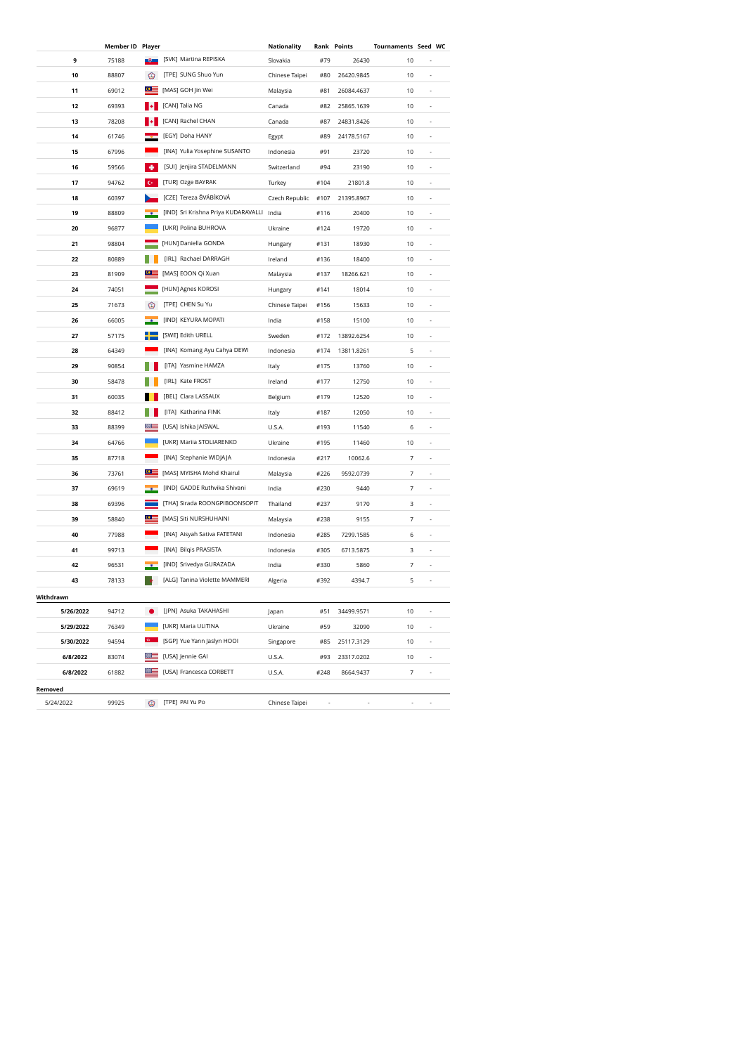|                        | Member ID Player |                  |                                           | Nationality    |      | <b>Rank Points</b> | Tournaments Seed WC |                          |  |
|------------------------|------------------|------------------|-------------------------------------------|----------------|------|--------------------|---------------------|--------------------------|--|
| 9                      | 75188            | -9-              | [SVK] Martina REPISKA                     | Slovakia       | #79  | 26430              | 10                  |                          |  |
| 10                     | 88807            | ◉                | [TPE] SUNG Shuo Yun                       | Chinese Taipei | #80  | 26420.9845         | 10                  |                          |  |
| 11                     | 69012            | $\circ$ $\equiv$ | [MAS] GOH Jin Wei                         | Malaysia       | #81  | 26084.4637         | 10                  |                          |  |
| 12                     | 69393            |                  | [CAN] Talia NG                            | Canada         | #82  | 25865.1639         | 10                  |                          |  |
| 13                     | 78208            |                  | [CAN] Rachel CHAN                         | Canada         | #87  | 24831.8426         | 10                  | $\overline{a}$           |  |
| 14                     | 61746            |                  | [EGY] Doha HANY                           | Egypt          | #89  | 24178.5167         | 10                  | $\overline{\phantom{a}}$ |  |
| 15                     | 67996            |                  | [INA] Yulia Yosephine SUSANTO             | Indonesia      | #91  | 23720              | 10                  | ÷,                       |  |
| 16                     | 59566            | ٠                | [SUI] Jenjira STADELMANN                  | Switzerland    | #94  | 23190              | 10                  | ×,                       |  |
| 17                     | 94762            |                  | [TUR] Ozge BAYRAK                         | Turkey         | #104 | 21801.8            | 10                  | ×,                       |  |
| 18                     | 60397            |                  | [CZE] Tereza ŠVÁBÍKOVÁ                    | Czech Republic | #107 | 21395.8967         | 10                  |                          |  |
| 19                     | 88809            |                  | [IND] Sri Krishna Priya KUDARAVALLI India |                | #116 | 20400              | 10                  |                          |  |
| 20                     | 96877            |                  | [UKR] Polina BUHROVA                      | Ukraine        | #124 | 19720              | 10                  |                          |  |
| 21                     | 98804            |                  | [HUN] Daniella GONDA                      | Hungary        | #131 | 18930              | 10                  | ×,                       |  |
| 22                     | 80889            |                  | [IRL] Rachael DARRAGH                     | Ireland        | #136 | 18400              | 10                  |                          |  |
| 23                     | 81909            | $^{\circ}$       | [MAS] EOON Qi Xuan                        | Malaysia       | #137 | 18266.621          | 10                  |                          |  |
| 24                     | 74051            |                  | [HUN] Agnes KOROSI                        | Hungary        | #141 | 18014              | 10                  | ٠                        |  |
| 25                     | 71673            | ⊙                | [TPE] CHEN Su Yu                          | Chinese Taipei | #156 | 15633              | 10                  | ٠                        |  |
| 26                     | 66005            |                  | [IND] KEYURA MOPATI                       | India          | #158 | 15100              | 10                  | $\overline{\phantom{a}}$ |  |
| 27                     | 57175            |                  | [SWE] Edith URELL                         | Sweden         | #172 | 13892.6254         | 10                  | $\overline{\phantom{a}}$ |  |
| 28                     | 64349            |                  | [INA] Komang Ayu Cahya DEWI               | Indonesia      | #174 | 13811.8261         | 5                   | $\overline{\phantom{a}}$ |  |
| 29                     | 90854            |                  | [ITA] Yasmine HAMZA                       | Italy          | #175 | 13760              | 10                  | ÷,                       |  |
| 30                     | 58478            |                  | [IRL] Kate FROST                          | Ireland        | #177 | 12750              | 10                  | ÷,                       |  |
| 31                     | 60035            |                  | [BEL] Clara LASSAUX                       | Belgium        | #179 | 12520              | 10                  | ÷,                       |  |
| 32                     | 88412            |                  | [ITA] Katharina FINK                      | Italy          | #187 | 12050              | 10                  |                          |  |
| 33                     | 88399            |                  | [USA] Ishika JAISWAL                      | U.S.A.         | #193 | 11540              | 6                   |                          |  |
| 34                     | 64766            |                  | [UKR] Mariia STOLIARENKO                  | Ukraine        | #195 | 11460              | 10                  | ×,                       |  |
| 35                     | 87718            |                  | [INA] Stephanie WIDJAJA                   | Indonesia      | #217 | 10062.6            | 7                   |                          |  |
| 36                     | 73761            | ≌≌               | [MAS] MYISHA Mohd Khairul                 | Malaysia       | #226 | 9592.0739          | 7                   |                          |  |
| 37                     | 69619            |                  | [IND] GADDE Ruthvika Shivani              | India          | #230 | 9440               | 7                   |                          |  |
| 38                     | 69396            |                  | [THA] Sirada ROONGPIBOONSOPIT             | Thailand       | #237 | 9170               | 3                   |                          |  |
| 39                     | 58840            | $\circ$ :        | [MAS] Siti NURSHUHAINI                    | Malaysia       | #238 | 9155               | 7                   | $\overline{\phantom{a}}$ |  |
| 40                     | 77988            |                  | [INA] Aisyah Sativa FATETANI              | Indonesia      | #285 | 7299.1585          | 6                   | $\overline{\phantom{a}}$ |  |
| 41                     | 99713            |                  | [INA] Bilqis PRASISTA                     | Indonesia      | #305 | 6713.5875          | 3                   | $\overline{\phantom{a}}$ |  |
| 42                     | 96531            |                  | [IND] Srivedya GURAZADA                   | India          | #330 | 5860               | 7                   | ×,                       |  |
| 43                     | 78133            |                  | [ALG] Tanina Violette MAMMERI             | Algeria        | #392 | 4394.7             | 5                   | ×,                       |  |
|                        |                  |                  |                                           |                |      |                    |                     |                          |  |
| Withdrawn<br>5/26/2022 | 94712            |                  | [JPN] Asuka TAKAHASHI                     | Japan          | #51  | 34499.9571         | 10                  |                          |  |
| 5/29/2022              | 76349            |                  | [UKR] Maria ULITINA                       | Ukraine        | #59  | 32090              | 10                  |                          |  |
| 5/30/2022              | 94594            |                  | [SGP] Yue Yann Jaslyn HOOI                | Singapore      | #85  | 25117.3129         | 10                  | ÷,                       |  |
| 6/8/2022               | 83074            |                  | [USA] Jennie GAI                          | U.S.A.         | #93  | 23317.0202         | 10                  | ÷,                       |  |
| 6/8/2022               | 61882            |                  | [USA] Francesca CORBETT                   | U.S.A.         | #248 | 8664.9437          | 7                   | ÷,                       |  |
|                        |                  |                  |                                           |                |      |                    |                     |                          |  |
| Removed                |                  |                  |                                           |                |      |                    |                     |                          |  |
| 5/24/2022              | 99925            | ☺                | [TPE] PAI Yu Po                           | Chinese Taipei |      |                    |                     |                          |  |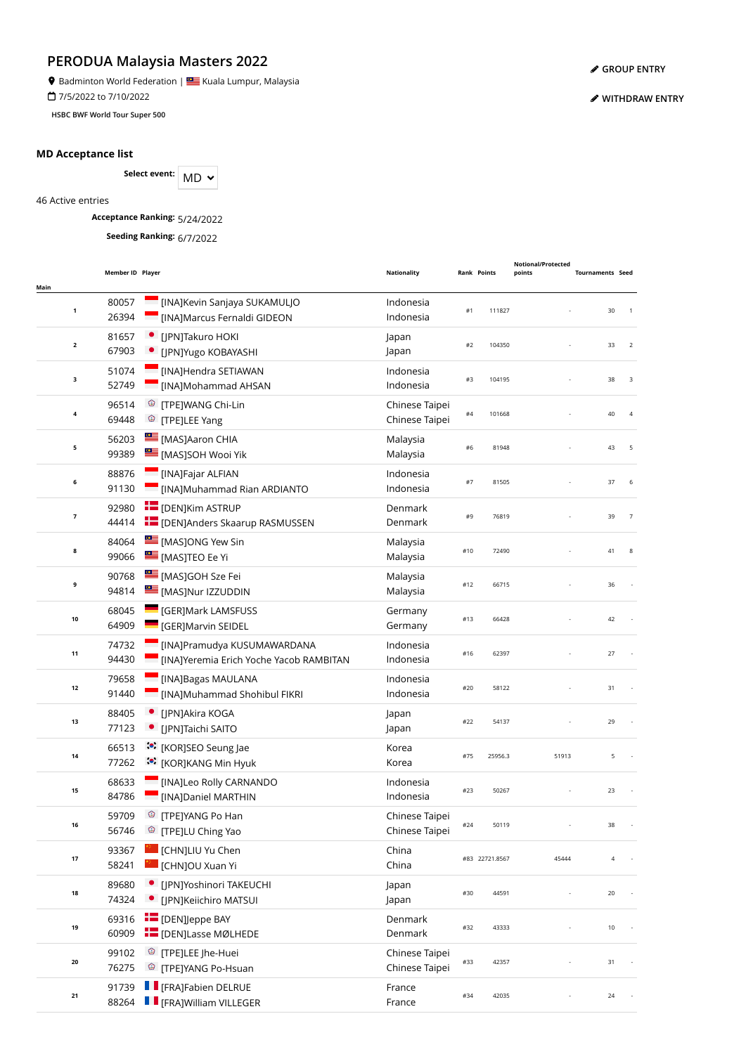**9** Badminton World Federation | **SALLA BEAD** Kuala Lumpur, Malaysia

7/5/2022 to 7/10/2022

**HSBC BWF World Tour Super 500**

#### **MD Acceptance list**

Select event: MD  $\sim$ 

46 Active entries

**Acceptance Ranking:** 5/24/2022

**Seeding Ranking:** 6/7/2022

| Main                    | Member ID Player |                                                                        | <b>Nationality</b>               | <b>Rank Points</b> |                | Notional/Protected<br>points | <b>Tournaments Seed</b> |                      |  |
|-------------------------|------------------|------------------------------------------------------------------------|----------------------------------|--------------------|----------------|------------------------------|-------------------------|----------------------|--|
| $\mathbf{1}$            | 80057<br>26394   | [INA]Kevin Sanjaya SUKAMULJO<br>[INA]Marcus Fernaldi GIDEON            | Indonesia<br>Indonesia           | #1                 | 111827         |                              |                         | 30<br>$\overline{1}$ |  |
| $\overline{\mathbf{2}}$ | 81657<br>67903   | [JPN]Takuro HOKI<br>[JPN]Yugo KOBAYASHI                                | Japan<br>Japan                   | #2                 | 104350         |                              |                         | 33<br>2              |  |
| 3                       | 51074<br>52749   | [INA]Hendra SETIAWAN<br>[INA]Mohammad AHSAN                            | Indonesia<br>Indonesia           | #3                 | 104195         |                              |                         | 38<br>3              |  |
| 4                       | 96514<br>69448   | <sup>3</sup> [TPE]WANG Chi-Lin<br><sup>©</sup> [TPE]LEE Yang           | Chinese Taipei<br>Chinese Taipei | #4                 | 101668         |                              |                         | 40<br>$\overline{4}$ |  |
| 5                       | 56203<br>99389   | [MAS]Aaron CHIA<br>[MAS]SOH Wooi Yik                                   | Malaysia<br>Malaysia             | #6                 | 81948          |                              |                         | 43<br>5              |  |
| 6                       | 88876<br>91130   | [INA]Fajar ALFIAN<br>[INA]Muhammad Rian ARDIANTO                       | Indonesia<br>Indonesia           | #7                 | 81505          |                              |                         | 37<br>6              |  |
| 7                       | 92980<br>44414   | <b>E</b> [DEN]Kim ASTRUP<br><b>THE [DEN]Anders Skaarup RASMUSSEN</b>   | Denmark<br>Denmark               | #9                 | 76819          |                              |                         | 39<br>$\overline{7}$ |  |
| 8                       | 84064<br>99066   | MASJONG Yew Sin<br><b>EMASJTEO Ee Yi</b>                               | Malaysia<br>Malaysia             | #10                | 72490          |                              |                         | 41<br>8              |  |
| 9                       | 90768<br>94814   | MASJGOH Sze Fei<br>[MAS]Nur IZZUDDIN                                   | Malaysia<br>Malaysia             | #12                | 66715          |                              |                         | 36                   |  |
| $10\,$                  | 68045<br>64909   | <b>CERJMark LAMSFUSS</b><br>[GER]Marvin SEIDEL                         | Germany<br>Germany               | #13                | 66428          |                              |                         | 42                   |  |
| 11                      | 74732<br>94430   | [INA]Pramudya KUSUMAWARDANA<br>[INA]Yeremia Erich Yoche Yacob RAMBITAN | Indonesia<br>Indonesia           | #16                | 62397          |                              |                         | 27                   |  |
| 12                      | 79658<br>91440   | [INA]Bagas MAULANA<br>[INA]Muhammad Shohibul FIKRI                     | Indonesia<br>Indonesia           | #20                | 58122          |                              |                         | 31                   |  |
| 13                      | 88405<br>77123   | [JPN]Akira KOGA<br>[JPN]Taichi SAITO                                   | Japan<br>Japan                   | #22                | 54137          |                              |                         | 29                   |  |
| 14                      | 66513<br>77262   | :•: [KOR]SEO Seung Jae<br><b><sup>:</sup>•</b> [KOR]KANG Min Hyuk      | Korea<br>Korea                   | #75                | 25956.3        | 51913                        |                         | 5                    |  |
| 15                      | 68633<br>84786   | <b>Example 1</b> [INA]Leo Rolly CARNANDO<br>[INA]Daniel MARTHIN        | Indonesia<br>Indonesia           | #23                | 50267          |                              |                         | 23                   |  |
| 16                      | 59709<br>56746   | <sup>©</sup> [TPE]YANG Po Han<br><sup>©</sup> [TPE]LU Ching Yao        | Chinese Taipei<br>Chinese Taipei | #24                | 50119          |                              |                         | 38                   |  |
| 17                      | 93367<br>58241   | [CHN]LIU Yu Chen<br>[CHN]OU Xuan Yi                                    | China<br>China                   |                    | #83 22721.8567 | 45444                        |                         | 4                    |  |
| 18                      | 89680<br>74324   | · [JPN]Yoshinori TAKEUCHI<br>• [JPN]Keiichiro MATSUI                   | Japan<br>Japan                   | #30                | 44591          |                              |                         | $20\,$               |  |
| 19                      | 69316<br>60909   | <b>E</b> [DEN]Jeppe BAY<br><b>EDEN JLASSE MØLHEDE</b>                  | Denmark<br>Denmark               | #32                | 43333          |                              |                         | 10                   |  |
| 20                      | 99102<br>76275   | <sup>©</sup> [TPE]LEE Jhe-Huei<br><sup>©</sup> [TPE]YANG Po-Hsuan      | Chinese Taipei<br>Chinese Taipei | #33                | 42357          |                              |                         | 31                   |  |
| 21                      | 91739<br>88264   | <b>F</b> [FRA]Fabien DELRUE<br><b>F</b> [FRA]William VILLEGER          | France<br>France                 | #34                | 42035          |                              |                         | 24                   |  |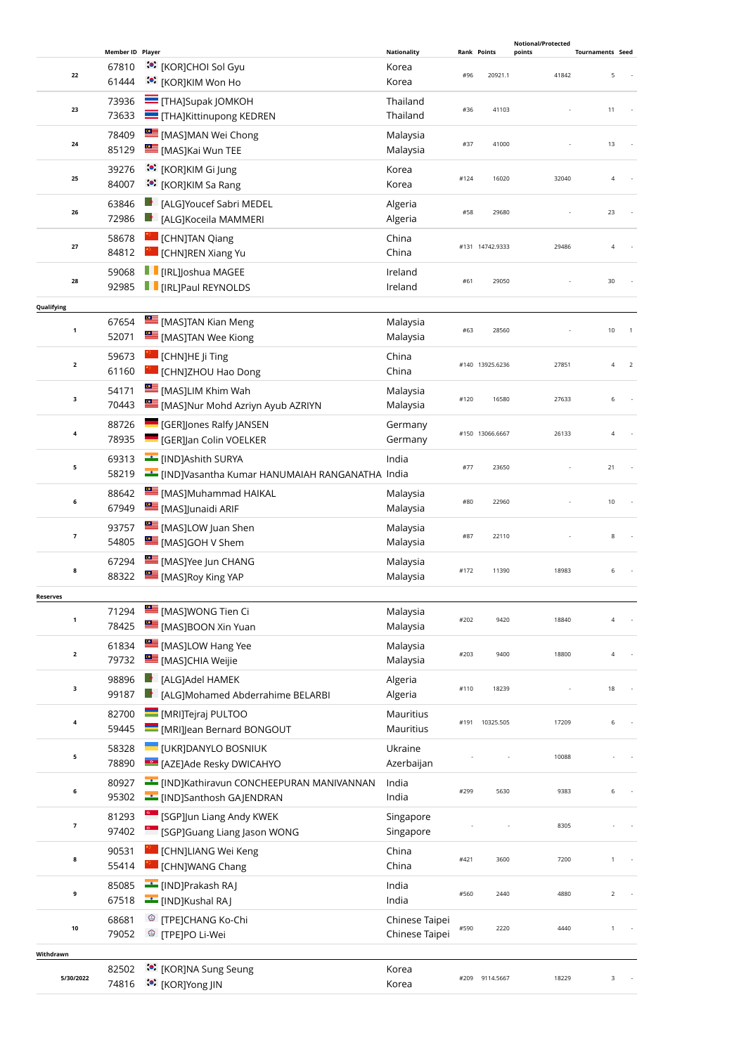|                         |                  |                                                    |                      |      |                    | <b>Notional/Protected</b> |                              |
|-------------------------|------------------|----------------------------------------------------|----------------------|------|--------------------|---------------------------|------------------------------|
|                         | Member ID Player |                                                    | <b>Nationality</b>   |      | <b>Rank Points</b> | points                    | <b>Tournaments Seed</b>      |
| 22                      | 67810<br>61444   | <b>ं</b> [KOR]CHOI Sol Gyu<br>ं•ें [KOR]KIM Won Ho | Korea<br>Korea       | #96  | 20921.1            | 41842                     | 5                            |
|                         | 73936            | <b>THAJSupak JOMKOH</b>                            | Thailand             |      |                    |                           |                              |
| 23                      | 73633            | THA]Kittinupong KEDREN                             | Thailand             | #36  | 41103              |                           | 11                           |
|                         | 78409            | MASJMAN Wei Chong                                  | Malaysia             |      |                    |                           |                              |
| 24                      | 85129            | [MAS]Kai Wun TEE                                   | Malaysia             | #37  | 41000              |                           | 13                           |
|                         | 39276            | :•: [KOR]KIM Gi Jung                               | Korea                |      |                    |                           |                              |
| 25                      | 84007            | :•: [KOR]KIM Sa Rang                               | Korea                | #124 | 16020              | 32040                     | $\sqrt{4}$                   |
|                         | 63846            | [ALG]Youcef Sabri MEDEL                            | Algeria              |      |                    |                           | 23                           |
| 26                      | 72986            | [ALG]Koceila MAMMERI                               | Algeria              | #58  | 29680              |                           |                              |
| 27                      | 58678            | [CHN]TAN Qiang                                     | China                |      | #131 14742.9333    | 29486                     | $\sqrt{4}$                   |
|                         | 84812            | [CHN]REN Xiang Yu                                  | China                |      |                    |                           |                              |
| 28                      | 59068            | $\blacksquare$ [IRL]Joshua MAGEE                   | Ireland              | #61  | 29050              |                           | 30                           |
|                         | 92985            | П<br><b>I</b> [IRL]Paul REYNOLDS                   | Ireland              |      |                    |                           |                              |
| Qualifying              |                  |                                                    |                      |      |                    |                           |                              |
| $\mathbf{1}$            | 67654            | [MAS]TAN Kian Meng                                 | Malaysia             | #63  | 28560              |                           | 10                           |
|                         | 52071            | <b>EXECUTE [MAS]TAN Wee Kiong</b>                  | Malaysia             |      |                    |                           |                              |
| $\overline{\mathbf{2}}$ | 59673            | CHN]HE Ji Ting                                     | China                |      | #140 13925.6236    | 27851                     | $\sqrt{4}$<br>$\overline{2}$ |
|                         | 61160            | [CHN]ZHOU Hao Dong                                 | China                |      |                    |                           |                              |
| 3                       | 54171            | <b>EXECUTE:</b> [MAS]LIM Khim Wah                  | Malaysia             | #120 | 16580              | 27633                     | 6                            |
|                         | 70443            | [MAS]Nur Mohd Azriyn Ayub AZRIYN                   | Malaysia             |      |                    |                           |                              |
| $\pmb{4}$               | 88726            | <b>GER]Jones Ralfy JANSEN</b>                      | Germany              |      | #150 13066.6667    | 26133                     | $\sqrt{4}$                   |
|                         | 78935            | <b>GER]Jan Colin VOELKER</b>                       | Germany              |      |                    |                           |                              |
| 5                       | 69313            | [IND]Ashith SURYA                                  | India                | #77  | 23650              |                           | 21                           |
|                         | 58219            | EIND]Vasantha Kumar HANUMAIAH RANGANATHA India     |                      |      |                    |                           |                              |
| 6                       | 88642            | [MAS]Muhammad HAIKAL                               | Malaysia             | #80  | 22960              |                           | 10                           |
|                         | 67949            | [MAS]Junaidi ARIF                                  | Malaysia             |      |                    |                           |                              |
| 7                       | 93757<br>54805   | [MAS]LOW Juan Shen                                 | Malaysia<br>Malaysia | #87  | 22110              |                           | 8                            |
|                         |                  | [MAS]GOH V Shem<br>[MAS]Yee Jun CHANG              |                      |      |                    |                           |                              |
| 8                       | 67294<br>88322   | [MAS]Roy King YAP                                  | Malaysia<br>Malaysia | #172 | 11390              | 18983                     | 6                            |
|                         |                  |                                                    |                      |      |                    |                           |                              |
| <b>Reserves</b>         | 71294            | <b>EMASJWONG Tien Ci</b>                           | Malaysia             |      |                    |                           |                              |
| 1                       | 78425            | [MAS]BOON Xin Yuan                                 | Malaysia             | #202 | 9420               | 18840                     | 4                            |
|                         | 61834            | [MAS]LOW Hang Yee                                  | Malaysia             |      |                    |                           |                              |
| $\overline{\mathbf{2}}$ | 79732            | <b>EMASJCHIA Weijie</b>                            | Malaysia             | #203 | 9400               | 18800                     | $\sqrt{4}$                   |
|                         | 98896            | [ALG]Adel HAMEK                                    | Algeria              |      |                    |                           |                              |
| 3                       | 99187            | [ALG]Mohamed Abderrahime BELARBI                   | Algeria              | #110 | 18239              |                           | 18                           |
|                         | 82700            | MRIJTejraj PULTOO                                  | Mauritius            |      |                    |                           |                              |
| $\pmb{4}$               | 59445            | [MRI]Jean Bernard BONGOUT                          | Mauritius            | #191 | 10325.505          | 17209                     | 6                            |
|                         | 58328            | <b>UKRJDANYLO BOSNIUK</b>                          | Ukraine              |      |                    |                           |                              |
| 5                       | 78890            | <b>EGO</b> [AZE]Ade Resky DWICAHYO                 | Azerbaijan           |      |                    | 10088                     |                              |
|                         | 80927            | E [IND]Kathiravun CONCHEEPURAN MANIVANNAN          | India                |      |                    |                           |                              |
| 6                       | 95302            | <b>Example 1</b> [IND]Santhosh GAJENDRAN           | India                | #299 | 5630               | 9383                      | 6                            |
|                         | 81293            | [SGP]Jun Liang Andy KWEK                           | Singapore            |      |                    |                           |                              |
| $\overline{\mathbf{z}}$ | 97402            | SGP]Guang Liang Jason WONG                         | Singapore            |      |                    | 8305                      |                              |
|                         | 90531            | [CHN]LIANG Wei Keng                                | China                |      |                    |                           |                              |
| 8                       | 55414            | [CHN]WANG Chang                                    | China                | #421 | 3600               | 7200                      |                              |
|                         | 85085            | [IND]Prakash RAJ                                   | India                |      |                    |                           |                              |
| 9                       | 67518            | [IND]Kushal RAJ                                    | India                | #560 | 2440               | 4880                      | $\overline{2}$               |
|                         | 68681            | <sup>®</sup> [TPE]CHANG Ko-Chi                     | Chinese Taipei       |      |                    |                           |                              |
| 10                      | 79052            | <sup>©</sup> [TPE]PO Li-Wei                        | Chinese Taipei       | #590 | 2220               | 4440                      | $\mathbf{1}$                 |
| Withdrawn               |                  |                                                    |                      |      |                    |                           |                              |
|                         | 82502            | <b>:</b> [KOR]NA Sung Seung                        | Korea                |      |                    |                           |                              |
| 5/30/2022               | 74816            | <sup>∴•</sup> [KOR]Yong JIN                        | Korea                | #209 | 9114.5667          | 18229                     | 3                            |
|                         |                  |                                                    |                      |      |                    |                           |                              |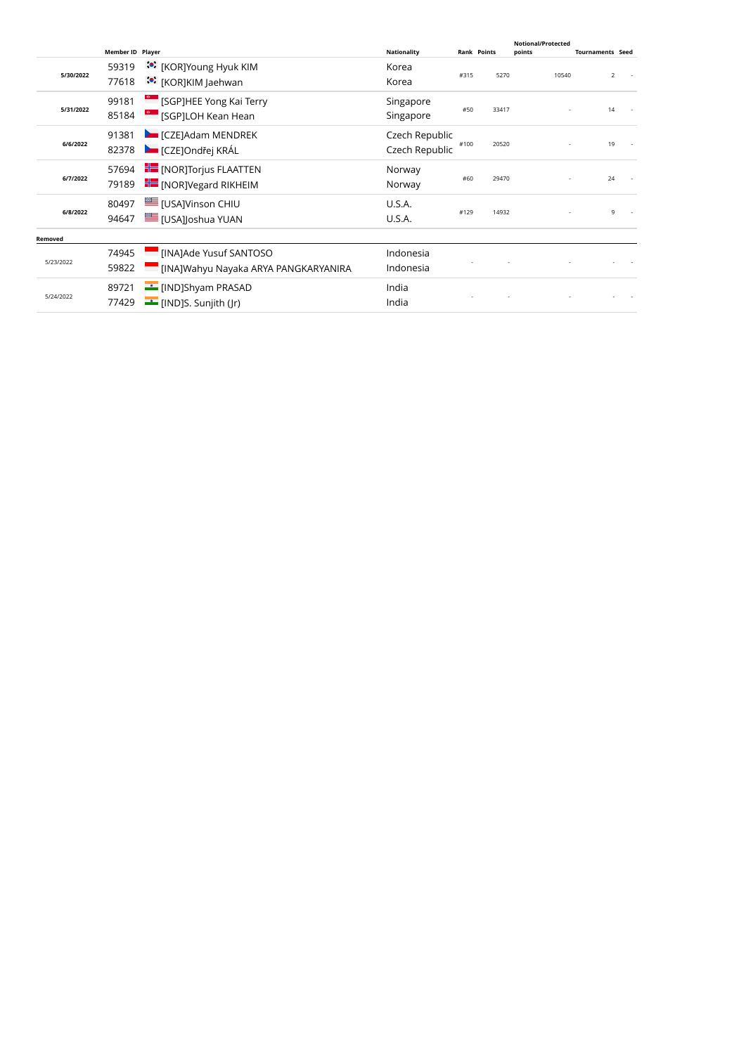|           | Member ID Player |                                                                       | <b>Nationality</b>               | <b>Rank Points</b> |       | <b>Notional/Protected</b><br>points | <b>Tournaments Seed</b> |  |
|-----------|------------------|-----------------------------------------------------------------------|----------------------------------|--------------------|-------|-------------------------------------|-------------------------|--|
| 5/30/2022 | 59319<br>77618   | <b><sup>30</sup></b> [KOR]Young Hyuk KIM<br><u>● [KOR]KIM Jaehwan</u> | Korea<br>Korea                   | #315               | 5270  | 10540                               | $\overline{2}$          |  |
| 5/31/2022 | 99181<br>85184   | [SGP]HEE Yong Kai Terry<br>[SGP]LOH Kean Hean                         | Singapore<br>Singapore           | #50                | 33417 |                                     | 14                      |  |
| 6/6/2022  | 91381<br>82378   | <b>EXAMPLE THE TEAM ICZE</b> JAdam MENDREK<br>CZEJOndřej KRÁL         | Czech Republic<br>Czech Republic | #100               | 20520 |                                     | 19                      |  |
| 6/7/2022  | 57694<br>79189   | <b>FE</b> [NOR]Torjus FLAATTEN<br><b>For</b> [NOR] Vegard RIKHEIM     | Norway<br>Norway                 | #60                | 29470 |                                     | 24                      |  |
| 6/8/2022  | 80497<br>94647   | <b>I</b> [USA]Vinson CHIU<br><b>III</b> [USA]Joshua YUAN              | U.S.A.<br>U.S.A.                 | #129               | 14932 |                                     | 9                       |  |
| Removed   |                  |                                                                       |                                  |                    |       |                                     |                         |  |
| 5/23/2022 | 74945<br>59822   | [INA]Ade Yusuf SANTOSO<br>[INA]Wahyu Nayaka ARYA PANGKARYANIRA        | Indonesia<br>Indonesia           |                    |       |                                     |                         |  |
| 5/24/2022 | 89721<br>77429   | [IND]Shyam PRASAD<br><b>E</b> [IND]S. Sunjith ( r)                    | India<br>India                   |                    |       |                                     |                         |  |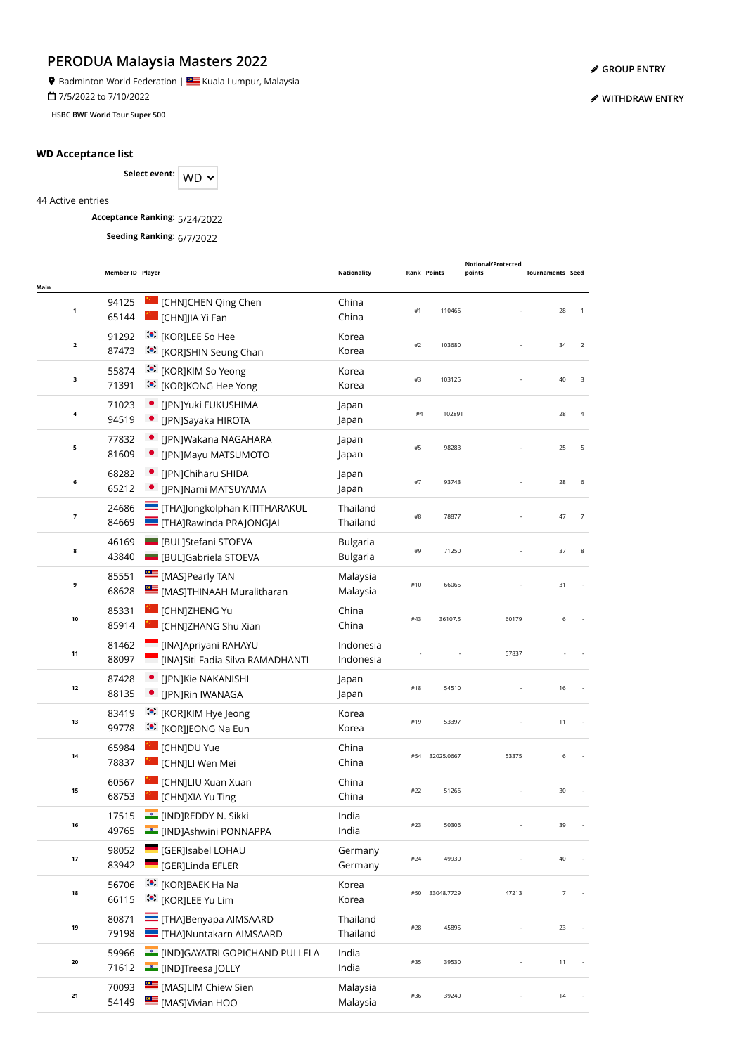**9** Badminton World Federation | **Star** Kuala Lumpur, Malaysia

7/5/2022 to 7/10/2022

**HSBC BWF World Tour Super 500**

#### **WD Acceptance list**

Select event: WD  $\sim$ 

44 Active entries

**Acceptance Ranking:** 5/24/2022

**Seeding Ranking:** 6/7/2022

| Main                    | Member ID Player |                                                                         | <b>Nationality</b>                 |     | <b>Rank Points</b> | Notional/Protected<br>points | <b>Tournaments Seed</b> |                |
|-------------------------|------------------|-------------------------------------------------------------------------|------------------------------------|-----|--------------------|------------------------------|-------------------------|----------------|
| 1                       | 94125<br>65144   | [CHN]CHEN Qing Chen<br>[CHN]JIA Yi Fan                                  | China<br>China                     | #1  | 110466             |                              | 28                      | $\mathbf{1}$   |
| $\mathbf{2}$            | 91292<br>87473   | :• [KOR]LEE So Hee<br><b>:</b> [KOR]SHIN Seung Chan                     | Korea<br>Korea                     | #2  | 103680             |                              | 34                      | $\overline{2}$ |
| 3                       | 55874<br>71391   | :•: [KOR]KIM So Yeong<br><b>*</b> [KOR]KONG Hee Yong                    | Korea<br>Korea                     | #3  | 103125             |                              | 40                      | 3              |
| 4                       | 71023<br>94519   | · [JPN]Yuki FUKUSHIMA<br>• [JPN]Sayaka HIROTA                           | Japan<br>Japan                     | #4  | 102891             |                              | 28                      | 4              |
| 5                       | 77832<br>81609   | • [JPN]Wakana NAGAHARA<br>• [JPN]Mayu MATSUMOTO                         | Japan<br>Japan                     | #5  | 98283              |                              | 25                      | 5              |
| 6                       | 68282<br>65212   | • [JPN]Chiharu SHIDA<br>• [JPN]Nami MATSUYAMA                           | Japan<br>Japan                     | #7  | 93743              |                              | 28                      | 6              |
| $\overline{\mathbf{z}}$ | 24686<br>84669   | THA]Jongkolphan KITITHARAKUL<br>THA]Rawinda PRAJONGJAI                  | Thailand<br>Thailand               | #8  | 78877              |                              | 47                      | $\overline{7}$ |
| 8                       | 46169<br>43840   | <b>BULIStefani STOEVA</b><br><b>BULJGabriela STOEVA</b>                 | <b>Bulgaria</b><br><b>Bulgaria</b> | #9  | 71250              |                              | 37                      | 8              |
| 9                       | 85551<br>68628   | <b>EXAMPLE IMAS</b> ] Pearly TAN<br>[MAS]THINAAH Muralitharan           | Malaysia<br>Malaysia               | #10 | 66065              |                              | 31                      |                |
| 10                      | 85331<br>85914   | [CHN]ZHENG Yu<br>[CHN]ZHANG Shu Xian                                    | China<br>China                     | #43 | 36107.5            | 60179                        | 6                       |                |
| 11                      | 81462<br>88097   | [INA]Apriyani RAHAYU<br><b>Example 15 INA Start Start School</b> ENANTI | Indonesia<br>Indonesia             |     |                    | 57837                        |                         |                |
| 12                      | 87428<br>88135   | • [JPN]Kie NAKANISHI<br>· [JPN]Rin IWANAGA                              | Japan<br>Japan                     | #18 | 54510              |                              | 16                      |                |
| 13                      | 83419<br>99778   | :•: [KOR]KIM Hye Jeong<br>:•: [KOR]JEONG Na Eun                         | Korea<br>Korea                     | #19 | 53397              |                              | 11                      |                |
| 14                      | 65984<br>78837   | [CHN]DU Yue<br>[CHN]LI Wen Mei                                          | China<br>China                     | #54 | 32025.0667         | 53375                        | 6                       |                |
| 15                      | 60567<br>68753   | [CHN]LIU Xuan Xuan<br>[CHN]XIA Yu Ting                                  | China<br>China                     | #22 | 51266              |                              | 30                      |                |
| 16                      | 17515<br>49765   | └ [IND]REDDY N. Sikki<br>[IND]Ashwini PONNAPPA                          | India<br>India                     |     | 50306              |                              |                         |                |
| $17\,$                  | 98052<br>83942   | [GER]Isabel LOHAU<br>[GER]Linda EFLER                                   | Germany<br>Germany                 | #24 | 49930              |                              | 40                      |                |
| 18                      | 56706<br>66115   | :•: [KOR]BAEK Ha Na<br>(€) [KOR]LEE Yu Lim                              | Korea<br>Korea                     | #50 | 33048.7729         | 47213                        | $\overline{7}$          |                |
| 19                      | 80871<br>79198   | $\equiv$ [THA]Benyapa AIMSAARD<br>THA]Nuntakarn AIMSAARD                | Thailand<br>Thailand               | #28 | 45895              |                              | 23                      |                |
| 20                      | 59966<br>71612   | [IND]GAYATRI GOPICHAND PULLELA<br>[IND]Treesa JOLLY                     | India<br>India                     | #35 | 39530              |                              | 11                      |                |
| 21                      | 70093<br>54149   | [MAS]LIM Chiew Sien<br>MASJVivian HOO                                   | Malaysia<br>Malaysia               | #36 | 39240              |                              | 14                      |                |

**[GROUP ENTRY](https://bwf.tournamentsoftware.com/individual-entry/EE44BEB4-66E3-4303-A3FB-2445388DDEF4)**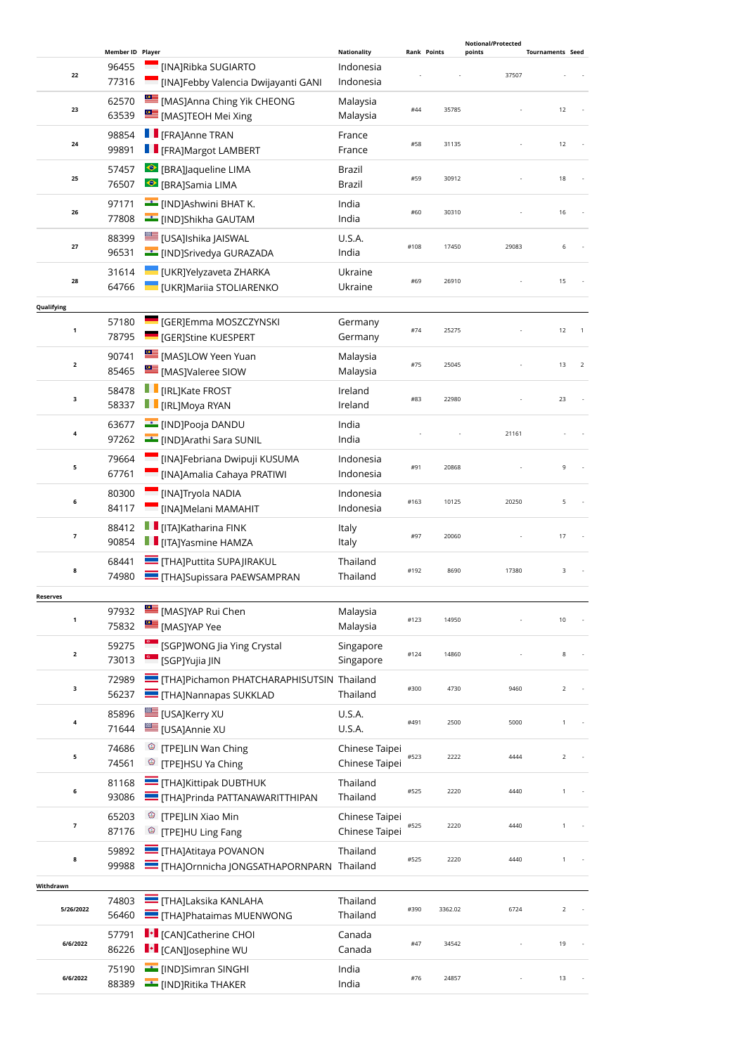|                          |                  |                                                            |                                  |      |                    | <b>Notional/Protected</b> |                         |
|--------------------------|------------------|------------------------------------------------------------|----------------------------------|------|--------------------|---------------------------|-------------------------|
|                          | Member ID Player |                                                            | <b>Nationality</b>               |      | <b>Rank Points</b> | points                    | <b>Tournaments Seed</b> |
| 22                       | 96455<br>77316   | [INA]Ribka SUGIARTO<br>[INA]Febby Valencia Dwijayanti GANI | Indonesia<br>Indonesia           |      |                    | 37507                     |                         |
|                          | 62570            | [MAS]Anna Ching Yik CHEONG                                 | Malaysia                         |      |                    |                           |                         |
| 23                       | 63539            | [MAS]TEOH Mei Xing                                         | Malaysia                         | #44  | 35785              |                           | 12                      |
|                          | 98854            | <b>F</b> [FRA]Anne TRAN                                    | France                           |      |                    |                           |                         |
| 24                       | 99891            | <b>FE</b> [FRA]Margot LAMBERT                              | France                           | #58  | 31135              |                           | 12                      |
|                          | 57457            | ● [BRA]Jaqueline LIMA                                      | Brazil                           |      |                    |                           |                         |
| 25                       | 76507            | <sup>●</sup> [BRA]Samia LIMA                               | Brazil                           | #59  | 30912              |                           | 18                      |
|                          | 97171            | [IND]Ashwini BHAT K.                                       | India                            |      |                    |                           |                         |
| 26                       | 77808            | [IND]Shikha GAUTAM                                         | India                            | #60  | 30310              |                           | 16                      |
|                          | 88399            | <b>III</b> [USA]Ishika JAISWAL                             | U.S.A.                           |      |                    |                           |                         |
| 27                       | 96531            | <b>Example 15</b> [IND]Srivedya GURAZADA                   | India                            | #108 | 17450              | 29083                     | 6                       |
|                          | 31614            | UKR]Yelyzaveta ZHARKA                                      | Ukraine                          |      |                    |                           |                         |
| 28                       | 64766            | UKR]Mariia STOLIARENKO                                     | Ukraine                          | #69  | 26910              |                           | 15                      |
|                          |                  |                                                            |                                  |      |                    |                           |                         |
| Qualifying               |                  |                                                            |                                  |      |                    |                           |                         |
| $\mathbf{1}$             | 57180            | <b>CERJEmma MOSZCZYNSKI</b>                                | Germany                          | #74  | 25275              |                           | 12                      |
|                          | 78795            | <b>GER]Stine KUESPERT</b>                                  | Germany                          |      |                    |                           |                         |
| $\overline{2}$           | 90741            | MASJLOW Yeen Yuan                                          | Malaysia                         | #75  | 25045              |                           | 13<br>$\overline{2}$    |
|                          | 85465            | MASJValeree SIOW                                           | Malaysia                         |      |                    |                           |                         |
|                          | 58478            | <b>TE</b> [IRL]Kate FROST                                  | Ireland                          |      |                    |                           |                         |
| 3                        | 58337            | $\blacksquare$ [IRL]Moya RYAN                              | Ireland                          | #83  | 22980              |                           | 23                      |
|                          | 63677            | <b>E</b> [IND]Pooja DANDU                                  | India                            |      |                    |                           |                         |
| 4                        | 97262            | [IND]Arathi Sara SUNIL                                     | India                            |      |                    | 21161                     |                         |
|                          |                  |                                                            |                                  |      |                    |                           |                         |
| 5                        | 79664            | [INA]Febriana Dwipuji KUSUMA                               | Indonesia                        | #91  | 20868              |                           | 9                       |
|                          | 67761            | [INA]Amalia Cahaya PRATIWI                                 | Indonesia                        |      |                    |                           |                         |
| 6                        | 80300            | <b>MAJTryola NADIA</b>                                     | Indonesia                        | #163 | 10125              | 20250                     | 5                       |
|                          | 84117            | [INA]Melani MAMAHIT                                        | Indonesia                        |      |                    |                           |                         |
|                          | 88412            | $\blacksquare$ [ITA]Katharina FINK                         | Italy                            |      |                    |                           |                         |
| $\overline{\phantom{a}}$ | 90854            | <b>TE</b> [ITA]Yasmine HAMZA                               | Italy                            | #97  | 20060              |                           | 17                      |
|                          | 68441            | <b>THA]Puttita SUPAJIRAKUL</b>                             | Thailand                         |      |                    |                           |                         |
| 8                        | 74980            | THA]Supissara PAEWSAMPRAN                                  | Thailand                         | #192 | 8690               | 17380                     | 3                       |
|                          |                  |                                                            |                                  |      |                    |                           |                         |
| <b>Reserves</b>          | 97932            | [MAS]YAP Rui Chen                                          |                                  |      |                    |                           |                         |
| 1                        | 75832            | MASJYAP Yee                                                | Malaysia<br>Malaysia             | #123 | 14950              |                           | 10                      |
|                          |                  |                                                            |                                  |      |                    |                           |                         |
| $\overline{\mathbf{2}}$  | 59275            | <sup>e</sup> [SGP]WONG Jia Ying Crystal                    | Singapore                        | #124 | 14860              |                           | 8                       |
|                          | 73013            | <sup>6</sup> [SGP]Yujia JIN                                | Singapore                        |      |                    |                           |                         |
|                          | 72989            | THA]Pichamon PHATCHARAPHISUTSIN Thailand                   |                                  |      |                    |                           |                         |
| 3                        | 56237            | <b>THAJNannapas SUKKLAD</b>                                | Thailand                         | #300 | 4730               | 9460                      | $\overline{2}$          |
|                          | 85896            | <b>USAJKerry XU</b>                                        | U.S.A.                           |      |                    |                           |                         |
| 4                        | 71644            | USAJAnnie XU                                               | U.S.A.                           | #491 | 2500               | 5000                      | $\mathbf{1}$            |
|                          | 74686            | <sup><sup>3</sup> [TPE]LIN Wan Ching</sup>                 |                                  |      |                    |                           |                         |
| 5                        | 74561            | <sup>©</sup> [TPE]HSU Ya Ching                             | Chinese Taipei<br>Chinese Taipei | #523 | 2222               | 4444                      | $\overline{2}$          |
|                          |                  |                                                            |                                  |      |                    |                           |                         |
| 6                        | 81168            | THA]Kittipak DUBTHUK                                       | Thailand                         | #525 | 2220               | 4440                      | 1                       |
|                          | 93086            | THA]Prinda PATTANAWARITTHIPAN                              | Thailand                         |      |                    |                           |                         |
| 7                        | 65203            | <sup>3</sup> [TPE]LIN Xiao Min                             | Chinese Taipei                   | #525 | 2220               | 4440                      | $\mathbf{1}$            |
|                          | 87176            | <sup>©</sup> [TPE]HU Ling Fang                             | Chinese Taipei                   |      |                    |                           |                         |
|                          | 59892            | THAJAtitaya POVANON                                        | Thailand                         |      |                    |                           |                         |
| 8                        | 99988            | THA]Ornnicha JONGSATHAPORNPARN Thailand                    |                                  | #525 | 2220               | 4440                      | $\mathbf{1}$            |
| Withdrawn                |                  |                                                            |                                  |      |                    |                           |                         |
|                          | 74803            | <b>THAJLAKSIKA KANLAHA</b>                                 | Thailand                         |      |                    |                           |                         |
| 5/26/2022                | 56460            | <b>THAJPhataimas MUENWONG</b>                              | Thailand                         | #390 | 3362.02            | 6724                      | $\overline{2}$          |
|                          |                  |                                                            |                                  |      |                    |                           |                         |
| 6/6/2022                 | 57791            | <b>I</b> • [CAN]Catherine CHOI                             | Canada                           | #47  | 34542              |                           | 19                      |
|                          | 86226            | <b>I</b> • [CAN]Josephine WU                               | Canada                           |      |                    |                           |                         |
| 6/6/2022                 | 75190            | <b>E</b> [IND]Simran SINGHI                                | India                            | #76  | 24857              |                           | 13                      |
|                          | 88389            | <b>EXAMPLE THAKER</b>                                      | India                            |      |                    |                           |                         |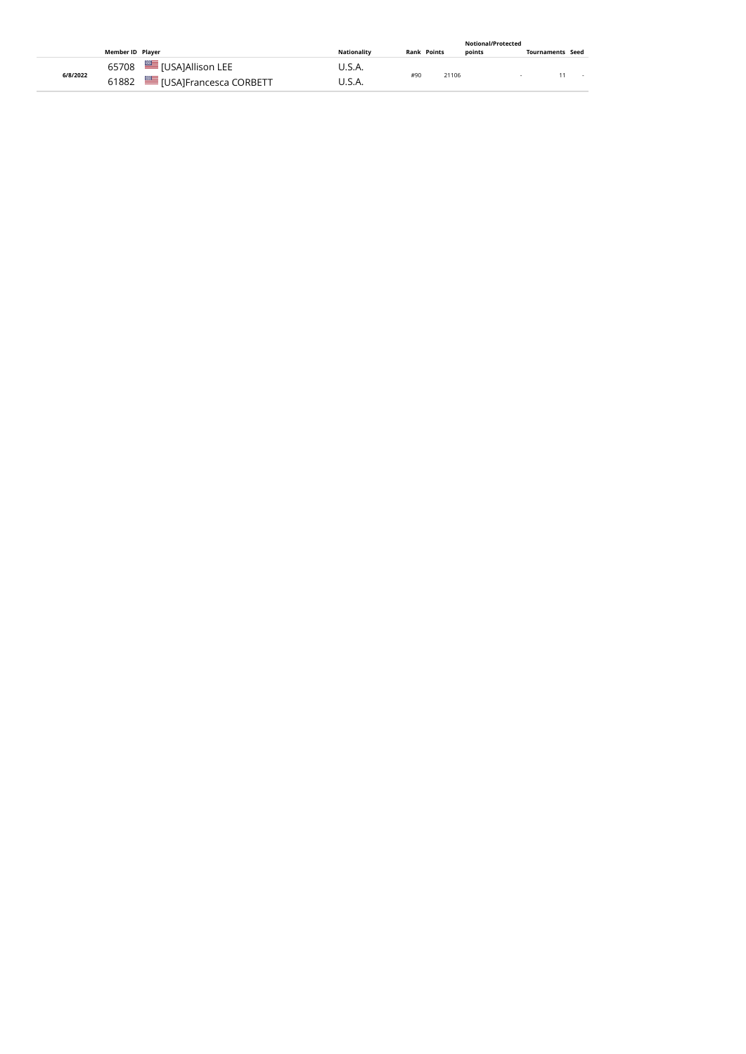|          |                  |                             |                    |     |                    | Notional/Protected |                  |        |
|----------|------------------|-----------------------------|--------------------|-----|--------------------|--------------------|------------------|--------|
|          | Member ID Plaver |                             | <b>Nationality</b> |     | <b>Rank Points</b> | points             | Tournaments Seed |        |
|          |                  | 65708   [USA]Allison LEE    | U.S.A.             |     |                    |                    |                  |        |
| 6/8/2022 |                  | 61882 USA]Francesca CORBETT | U.S.A.             | #90 | 21106              |                    |                  | $\sim$ |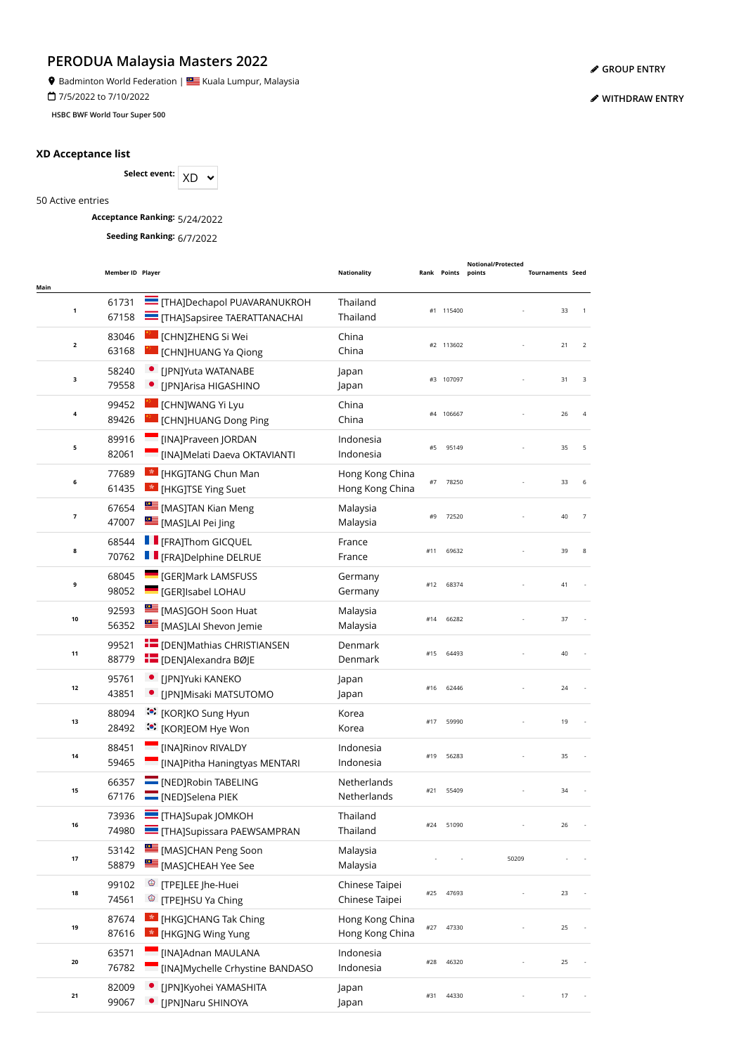<sup>9</sup> Badminton World Federation | **Sepand Audio Lumpur, Malaysia** 

7/5/2022 to 7/10/2022

**HSBC BWF World Tour Super 500**

#### **XD Acceptance list**

Select event:  $XD \sim$ 

50 Active entries

**Acceptance Ranking:** 5/24/2022

**Seeding Ranking:** 6/7/2022

|                         | Member ID Player |                                                                     | <b>Nationality</b>                 |     | Rank Points | Notional/Protected<br>points | <b>Tournaments Seed</b> |                |
|-------------------------|------------------|---------------------------------------------------------------------|------------------------------------|-----|-------------|------------------------------|-------------------------|----------------|
| Main<br>1               | 61731<br>67158   | THA]Dechapol PUAVARANUKROH<br>THA]Sapsiree TAERATTANACHAI           | Thailand<br>Thailand               |     | #1 115400   |                              | 33                      | $\overline{1}$ |
| $\overline{\mathbf{2}}$ | 83046<br>63168   | [CHN]ZHENG Si Wei<br>[CHN]HUANG Ya Qiong                            | China<br>China                     |     | #2 113602   |                              | 21                      | $\overline{2}$ |
| 3                       | 58240<br>79558   | [JPN]Yuta WATANABE<br>[JPN]Arisa HIGASHINO                          | Japan<br>Japan                     |     | #3 107097   |                              | 31                      | 3              |
| 4                       | 99452<br>89426   | [CHN]WANG Yi Lyu<br><b>CHN]HUANG Dong Ping</b>                      | China<br>China                     |     | #4 106667   |                              | 26                      | $\overline{4}$ |
| 5                       | 89916<br>82061   | [INA]Praveen JORDAN<br>[INA]Melati Daeva OKTAVIANTI                 | Indonesia<br>Indonesia             | #5  | 95149       |                              | 35                      | 5              |
| 6                       | 77689<br>61435   | <b>Ex [HKG]TANG Chun Man</b><br><b>*</b> [HKG]TSE Ying Suet         | Hong Kong China<br>Hong Kong China | #7  | 78250       |                              | 33                      | 6              |
| 7                       | 67654<br>47007   | [MAS]TAN Kian Meng<br>MASJLAI Pei Jing                              | Malaysia<br>Malaysia               | #9  | 72520       |                              | 40                      | $\overline{7}$ |
| 8                       | 68544<br>70762   | <b>Figure 1</b> [FRA]Thom GICQUEL<br><b>F</b> [FRA]Delphine DELRUE  | France<br>France                   | #11 | 69632       |                              | 39                      | 8              |
| 9                       | 68045<br>98052   | <b>GER]Mark LAMSFUSS</b><br><b>GER]Isabel LOHAU</b>                 | Germany<br>Germany                 | #12 | 68374       |                              | 41                      |                |
| 10                      | 92593<br>56352   | MASJGOH Soon Huat<br>[MAS]LAI Shevon Jemie                          | Malaysia<br>Malaysia               | #14 | 66282       |                              | 37                      |                |
| 11                      | 99521<br>88779   | <b>FE</b> [DEN]Mathias CHRISTIANSEN<br><b>E</b> [DEN]Alexandra BØJE | Denmark<br>Denmark                 | #15 | 64493       |                              | 40                      |                |
| 12                      | 95761<br>43851   | [JPN]Yuki KANEKO<br>[JPN]Misaki MATSUTOMO                           | Japan<br>Japan                     | #16 | 62446       |                              | 24                      |                |
| 13                      | 88094<br>28492   | :•: [KOR]KO Sung Hyun<br>:● [KOR]EOM Hye Won                        | Korea<br>Korea                     | #17 | 59990       |                              | 19                      |                |
| 14                      | 88451<br>59465   | [INA]Rinov RIVALDY<br>[INA]Pitha Haningtyas MENTARI                 | Indonesia<br>Indonesia             | #19 | 56283       |                              | 35                      |                |
| 15                      | 66357<br>67176   | <b>NED</b> [NED]Robin TABELING<br>NED]Selena PIEK                   | Netherlands<br>Netherlands         | #21 | 55409       |                              | 34                      |                |
| 16                      | 73936<br>74980   | <b>THAISupak IOMKOH</b><br>THA]Supissara PAEWSAMPRAN                | Thailand<br>Thailand               | #24 | 51090       |                              | 26                      |                |
| 17                      | 53142<br>58879   | MASJCHAN Peng Soon<br>MASJCHEAH Yee See                             | Malaysia<br>Malaysia               |     |             | 50209                        |                         |                |
| 18                      | 99102<br>74561   | <sup>©</sup> [TPE]LEE Jhe-Huei<br><sup>©</sup> [TPE]HSU Ya Ching    | Chinese Taipei<br>Chinese Taipei   | #25 | 47693       |                              | 23                      |                |
| 19                      | 87674<br>87616   | <b>Ex [HKG]CHANG Tak Ching</b><br>* [HKG]NG Wing Yung               | Hong Kong China<br>Hong Kong China | #27 | 47330       |                              | 25                      |                |
| 20                      | 63571<br>76782   | [INA]Adnan MAULANA<br>[INA]Mychelle Crhystine BANDASO               | Indonesia<br>Indonesia             | #28 | 46320       |                              | 25                      |                |
| 21                      | 82009<br>99067   | [JPN]Kyohei YAMASHITA<br>[JPN]Naru SHINOYA                          | Japan<br>Japan                     | #31 | 44330       |                              | 17                      |                |

**[GROUP ENTRY](https://bwf.tournamentsoftware.com/individual-entry/EE44BEB4-66E3-4303-A3FB-2445388DDEF4)**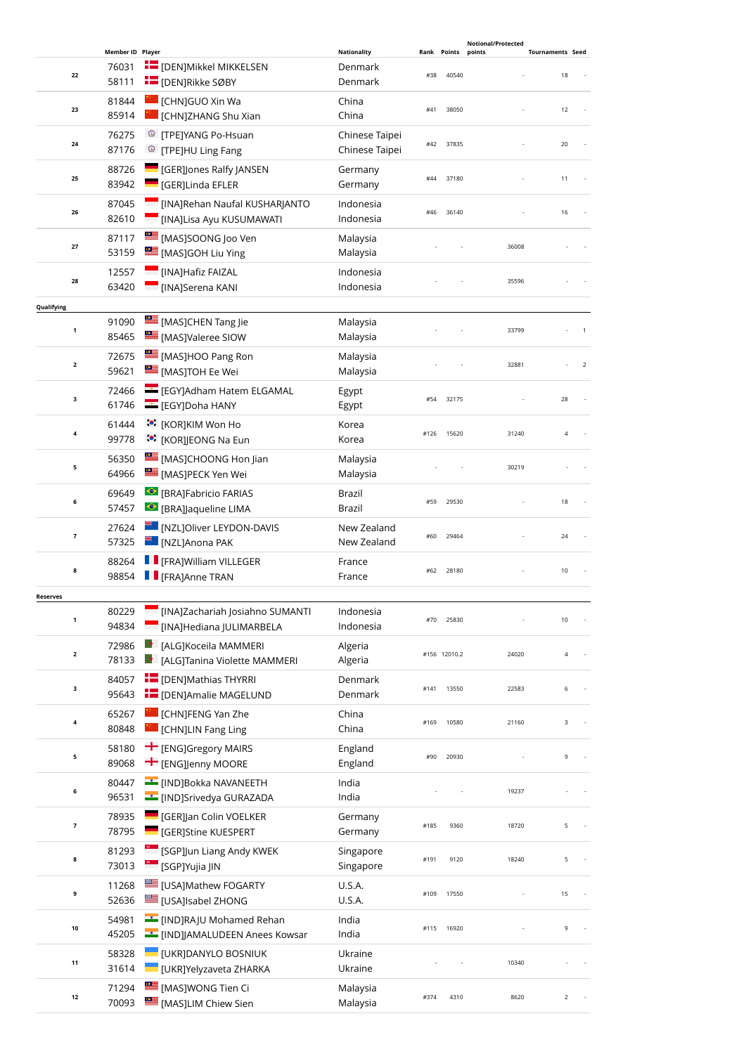|                 |                                    |                                                                             |                                          |             |                 | <b>Notional/Protected</b> |                               |                |
|-----------------|------------------------------------|-----------------------------------------------------------------------------|------------------------------------------|-------------|-----------------|---------------------------|-------------------------------|----------------|
| 22              | Member ID Player<br>76031<br>58111 | <b>E</b> [DEN]Mikkel MIKKELSEN<br><b>E</b> [DEN]Rikke SØBY                  | <b>Nationality</b><br>Denmark<br>Denmark | Rank<br>#38 | Points<br>40540 | points                    | <b>Tournaments Seed</b><br>18 |                |
| 23              | 81844<br>85914                     | [CHN]GUO Xin Wa<br>[CHN]ZHANG Shu Xian                                      | China<br>China                           | #41         | 38050           |                           | 12                            |                |
| 24              | 76275<br>87176                     | ☺<br>[TPE]YANG Po-Hsuan<br><sup>©</sup> [TPE]HU Ling Fang                   | Chinese Taipei<br>Chinese Taipei         | #42         | 37835           |                           | 20                            |                |
| 25              | 88726<br>83942                     | <b>GER]Jones Ralfy JANSEN</b><br><b>GER]Linda EFLER</b>                     | Germany<br>Germany                       | #44         | 37180           |                           | 11                            |                |
| 26              | 87045<br>82610                     | [INA]Rehan Naufal KUSHARJANTO<br>[INA]Lisa Ayu KUSUMAWATI                   | Indonesia<br>Indonesia                   | #46         | 36140           |                           | 16                            |                |
| 27              | 87117<br>53159                     | MASJSOONG Joo Ven<br>[MAS]GOH Liu Ying                                      | Malaysia<br>Malaysia                     |             |                 | 36008                     |                               |                |
| 28              | 12557<br>63420                     | [INA]Hafiz FAIZAL<br>[INA]Serena KANI                                       | Indonesia<br>Indonesia                   |             |                 | 35596                     |                               |                |
| Qualifying      |                                    |                                                                             |                                          |             |                 |                           |                               |                |
| $\mathbf 1$     | 91090<br>85465                     | [MAS]CHEN Tang Jie<br>MASJValeree SIOW                                      | Malaysia<br>Malaysia                     |             |                 | 33799                     |                               |                |
| $\mathbf{2}$    | 72675<br>59621                     | <b>EMASJHOO Pang Ron</b><br>[MAS]TOH Ee Wei                                 | Malaysia<br>Malaysia                     |             |                 | 32881                     |                               | $\overline{2}$ |
| з               | 72466<br>61746                     | EGY]Adham Hatem ELGAMAL<br>EGYJDoha HANY                                    | Egypt<br>Egypt                           | #54         | 32175           |                           | 28                            |                |
| 4               | 61444<br>99778                     | <b>.•</b> [KOR]KIM Won Ho<br><b>៉េ</b> : [KOR]JEONG Na Eun                  | Korea<br>Korea                           | #126        | 15620           | 31240                     | 4                             |                |
| 5               | 56350<br>64966                     | [MAS]CHOONG Hon Jian<br>[MAS]PECK Yen Wei                                   | Malaysia<br>Malaysia                     |             |                 | 30219                     |                               |                |
| 6               | 69649<br>57457                     | ● [BRA]Fabricio FARIAS<br>● [BRA]Jaqueline LIMA                             | Brazil<br>Brazil                         | #59         | 29530           |                           | 18                            |                |
| 7               | 27624<br>57325                     | <b><sup>##</sup>*</b> [NZL]Oliver LEYDON-DAVIS<br>ि [NZL]Anona PAK          | New Zealand<br>New Zealand               | #60         | 29464           |                           | 24                            |                |
| 8               | 88264<br>98854                     | <b>F</b> [FRA]William VILLEGER<br><b>F</b> [FRA]Anne TRAN                   | France<br>France                         | #62         | 28180           |                           | 10                            |                |
| <b>Reserves</b> |                                    |                                                                             |                                          |             |                 |                           |                               |                |
| 1               | 80229<br>94834                     | [INA]Zachariah Josiahno SUMANTI<br>[INA]Hediana JULIMARBELA                 | Indonesia<br>Indonesia                   | #70         | 25830           |                           | 10                            |                |
| $\mathbf 2$     | 72986<br>78133                     | Le<br>[ALG]Koceila MAMMERI<br>[ALG]Tanina Violette MAMMERI                  | Algeria<br>Algeria                       |             | #156 12010.2    | 24020                     |                               | 4              |
| з               | 84057<br>95643                     | <b>E</b> [DEN]Mathias THYRRI<br><b>E</b> [DEN]Amalie MAGELUND               | Denmark<br>Denmark                       | #141        | 13550           | 22583                     |                               | 6              |
| 4               | 65267<br>80848                     | [CHN]FENG Yan Zhe<br>[CHN]LIN Fang Ling                                     | China<br>China                           | #169        | 10580           | 21160                     |                               | 3              |
| 5               | 58180<br>89068                     | $+$ [ENG] Gregory MAIRS<br><b>T</b> [ENG]Jenny MOORE                        | England<br>England                       | #90         | 20930           |                           | 9                             |                |
| 6               | 80447<br>96531                     | <b>EXAMPLE THE INDIBOKKA NAVANEETH</b><br><b>___</b> [IND]Srivedya GURAZADA | India<br>India                           |             |                 | 19237                     |                               |                |
| 7               | 78935<br>78795                     | <b>GER]</b> [GER]] an Colin VOELKER<br><b>GERJStine KUESPERT</b>            | Germany<br>Germany                       | #185        | 9360            | 18720                     |                               | 5              |
| 8               | 81293<br>73013                     | [SGP]Jun Liang Andy KWEK<br><sup>©</sup> [SGP]Yujia JIN                     | Singapore<br>Singapore                   | #191        | 9120            | 18240                     | 5                             |                |
| 9               | 11268<br>52636                     | [USA]Mathew FOGARTY<br><b>USA]Isabel ZHONG</b>                              | <b>U.S.A.</b><br>U.S.A.                  | #109        | 17550           |                           | 15                            |                |
| 10              | 54981<br>45205                     | [IND]RAJU Mohamed Rehan<br><b>E</b> [IND]JAMALUDEEN Anees Kowsar            | India<br>India                           | #115        | 16920           |                           | 9                             |                |
| 11              | 58328<br>31614                     | [UKR]DANYLO BOSNIUK<br>[UKR]Yelyzaveta ZHARKA                               | Ukraine<br>Ukraine                       |             |                 | 10340                     |                               |                |
| 12              | 71294<br>70093                     | [MAS]WONG Tien Ci<br>[MAS]LIM Chiew Sien                                    | Malaysia<br>Malaysia                     | #374        | 4310            | 8620                      |                               | 2              |